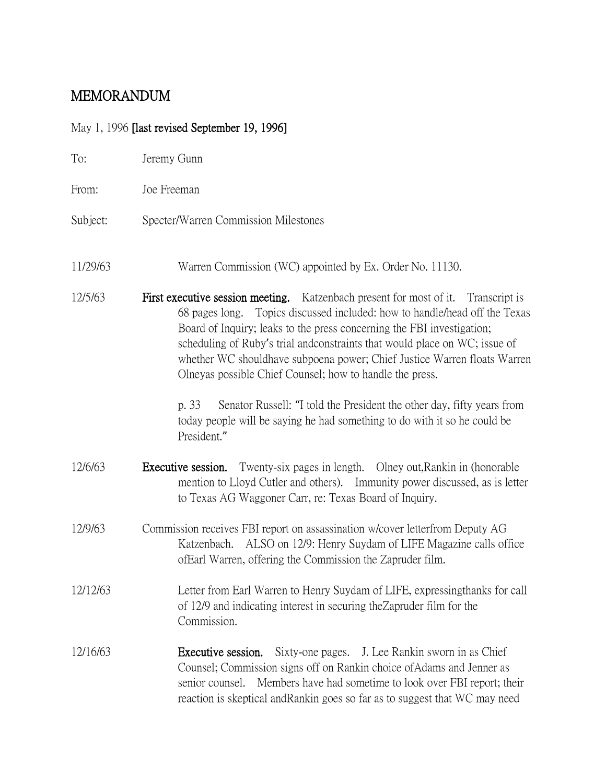# MEMORANDUM

## May 1, 1996 [last revised September 19, 1996]

| To:      | Jeremy Gunn                                                                                                                                                                                                                                                                                                                                                                                                                                                                                                                                                                                                                                        |
|----------|----------------------------------------------------------------------------------------------------------------------------------------------------------------------------------------------------------------------------------------------------------------------------------------------------------------------------------------------------------------------------------------------------------------------------------------------------------------------------------------------------------------------------------------------------------------------------------------------------------------------------------------------------|
| From:    | Joe Freeman                                                                                                                                                                                                                                                                                                                                                                                                                                                                                                                                                                                                                                        |
| Subject: | Specter/Warren Commission Milestones                                                                                                                                                                                                                                                                                                                                                                                                                                                                                                                                                                                                               |
| 11/29/63 | Warren Commission (WC) appointed by Ex. Order No. 11130.                                                                                                                                                                                                                                                                                                                                                                                                                                                                                                                                                                                           |
| 12/5/63  | First executive session meeting. Katzenbach present for most of it. Transcript is<br>Topics discussed included: how to handle/head off the Texas<br>68 pages long.<br>Board of Inquiry; leaks to the press concerning the FBI investigation;<br>scheduling of Ruby's trial and constraints that would place on WC; issue of<br>whether WC shouldhave subpoena power; Chief Justice Warren floats Warren<br>Olneyas possible Chief Counsel; how to handle the press.<br>Senator Russell: "I told the President the other day, fifty years from<br>p. 33<br>today people will be saying he had something to do with it so he could be<br>President." |
| 12/6/63  | Twenty-six pages in length. Olney out, Rankin in (honorable)<br>Executive session.<br>mention to Lloyd Cutler and others). Immunity power discussed, as is letter<br>to Texas AG Waggoner Carr, re: Texas Board of Inquiry.                                                                                                                                                                                                                                                                                                                                                                                                                        |
| 12/9/63  | Commission receives FBI report on assassination w/cover letterfrom Deputy AG<br>ALSO on 12/9: Henry Suydam of LIFE Magazine calls office<br>Katzenbach.<br>of Earl Warren, offering the Commission the Zapruder film.                                                                                                                                                                                                                                                                                                                                                                                                                              |
| 12/12/63 | Letter from Earl Warren to Henry Suydam of LIFE, expressing thanks for call<br>of 12/9 and indicating interest in securing the Zapruder film for the<br>Commission.                                                                                                                                                                                                                                                                                                                                                                                                                                                                                |
| 12/16/63 | Sixty-one pages. J. Lee Rankin sworn in as Chief<br>Executive session.<br>Counsel; Commission signs off on Rankin choice of Adams and Jenner as<br>senior counsel. Members have had sometime to look over FBI report; their<br>reaction is skeptical and Rankin goes so far as to suggest that WC may need                                                                                                                                                                                                                                                                                                                                         |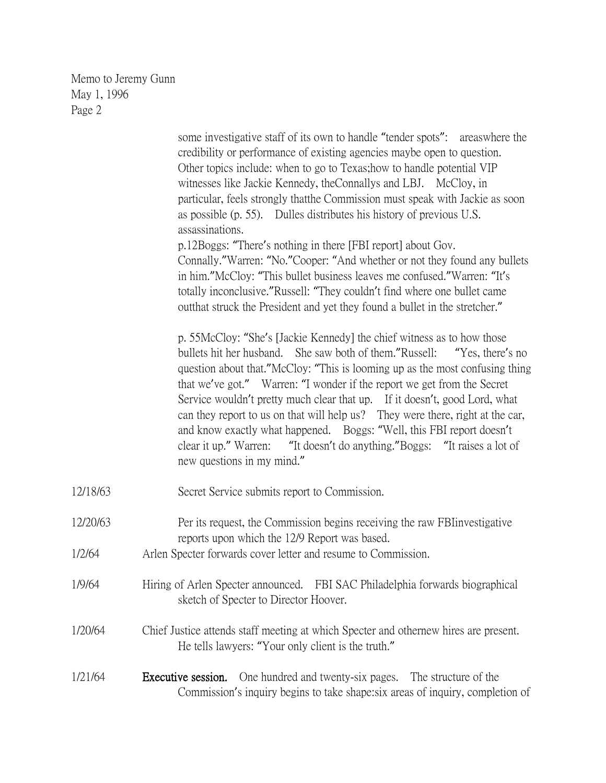some investigative staff of its own to handle "tender spots": areaswhere the credibility or performance of existing agencies maybe open to question. Other topics include: when to go to Texas;how to handle potential VIP witnesses like Jackie Kennedy, theConnallys and LBJ. McCloy, in particular, feels strongly thatthe Commission must speak with Jackie as soon as possible (p. 55). Dulles distributes his history of previous U.S. assassinations. p.12Boggs: "There's nothing in there [FBI report] about Gov. Connally."Warren: "No."Cooper: "And whether or not they found any bullets in him."McCloy: "This bullet business leaves me confused."Warren: "It's totally inconclusive."Russell: "They couldn't find where one bullet came outthat struck the President and yet they found a bullet in the stretcher." p. 55McCloy: "She's [Jackie Kennedy] the chief witness as to how those bullets hit her husband. She saw both of them."Russell: "Yes, there's no question about that."McCloy: "This is looming up as the most confusing thing that we've got." Warren: "I wonder if the report we get from the Secret Service wouldn't pretty much clear that up. If it doesn't, good Lord, what can they report to us on that will help us? They were there, right at the car, and know exactly what happened. Boggs: "Well, this FBI report doesn't clear it up." Warren: "It doesn't do anything."Boggs: "It raises a lot of new questions in my mind." 12/18/63 Secret Service submits report to Commission. 12/20/63 Per its request, the Commission begins receiving the raw FBIinvestigative reports upon which the 12/9 Report was based. 1/2/64 Arlen Specter forwards cover letter and resume to Commission. 1/9/64 Hiring of Arlen Specter announced. FBI SAC Philadelphia forwards biographical sketch of Specter to Director Hoover. 1/20/64 Chief Justice attends staff meeting at which Specter and othernew hires are present. He tells lawyers: "Your only client is the truth." 1/21/64 Executive session. One hundred and twenty-six pages. The structure of the Commission's inquiry begins to take shape:six areas of inquiry, completion of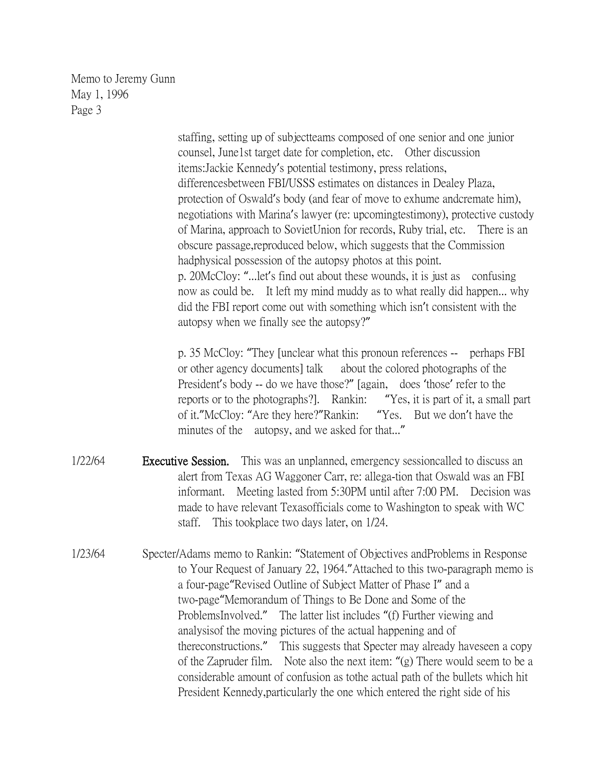> staffing, setting up of subjectteams composed of one senior and one junior counsel, June1st target date for completion, etc. Other discussion items:Jackie Kennedy's potential testimony, press relations, differencesbetween FBI/USSS estimates on distances in Dealey Plaza, protection of Oswald's body (and fear of move to exhume andcremate him), negotiations with Marina's lawyer (re: upcomingtestimony), protective custody of Marina, approach to SovietUnion for records, Ruby trial, etc. There is an obscure passage,reproduced below, which suggests that the Commission hadphysical possession of the autopsy photos at this point. p. 20McCloy: "...let's find out about these wounds, it is just as confusing now as could be. It left my mind muddy as to what really did happen... why did the FBI report come out with something which isn't consistent with the autopsy when we finally see the autopsy?"

> p. 35 McCloy: "They [unclear what this pronoun references -- perhaps FBI or other agency documents] talk about the colored photographs of the President's body -- do we have those?" [again, does 'those' refer to the reports or to the photographs?]. Rankin: "Yes, it is part of it, a small part of it."McCloy: "Are they here?"Rankin: "Yes. But we don't have the minutes of the autopsy, and we asked for that..."

- 1/22/64 **Executive Session.** This was an unplanned, emergency sessioncalled to discuss an alert from Texas AG Waggoner Carr, re: allega-tion that Oswald was an FBI informant. Meeting lasted from 5:30PM until after 7:00 PM. Decision was made to have relevant Texasofficials come to Washington to speak with WC staff. This tookplace two days later, on 1/24.
- 1/23/64 Specter/Adams memo to Rankin: "Statement of Objectives andProblems in Response to Your Request of January 22, 1964."Attached to this two-paragraph memo is a four-page"Revised Outline of Subject Matter of Phase I" and a two-page"Memorandum of Things to Be Done and Some of the ProblemsInvolved." The latter list includes "(f) Further viewing and analysisof the moving pictures of the actual happening and of thereconstructions." This suggests that Specter may already haveseen a copy of the Zapruder film. Note also the next item: "(g) There would seem to be a considerable amount of confusion as tothe actual path of the bullets which hit President Kennedy,particularly the one which entered the right side of his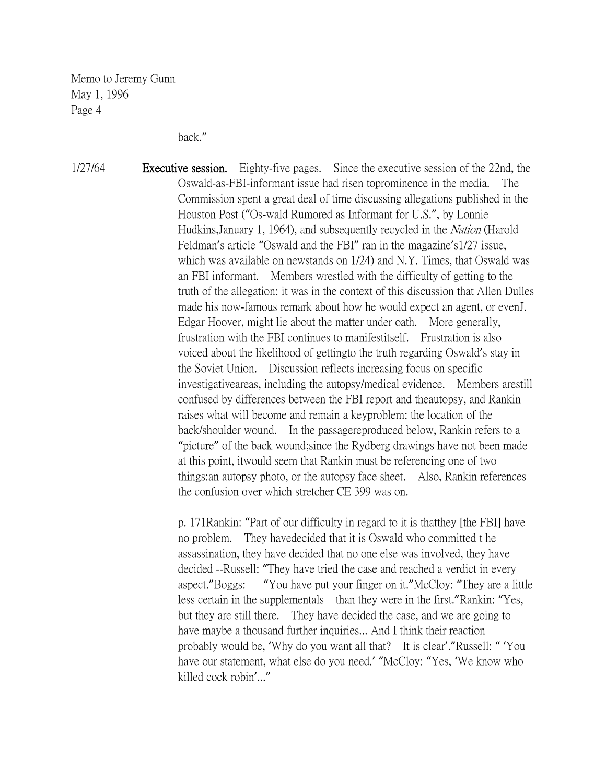back."

1/27/64 **Executive session.** Eighty-five pages. Since the executive session of the 22nd, the Oswald-as-FBI-informant issue had risen toprominence in the media. The Commission spent a great deal of time discussing allegations published in the Houston Post ("Os-wald Rumored as Informant for U.S.", by Lonnie Hudkins, January 1, 1964), and subsequently recycled in the Nation (Harold Feldman's article "Oswald and the FBI" ran in the magazine's1/27 issue, which was available on newstands on 1/24) and N.Y. Times, that Oswald was an FBI informant. Members wrestled with the difficulty of getting to the truth of the allegation: it was in the context of this discussion that Allen Dulles made his now-famous remark about how he would expect an agent, or evenJ. Edgar Hoover, might lie about the matter under oath. More generally, frustration with the FBI continues to manifestitself. Frustration is also voiced about the likelihood of gettingto the truth regarding Oswald's stay in the Soviet Union. Discussion reflects increasing focus on specific investigativeareas, including the autopsy/medical evidence. Members arestill confused by differences between the FBI report and theautopsy, and Rankin raises what will become and remain a keyproblem: the location of the back/shoulder wound. In the passagereproduced below, Rankin refers to a "picture" of the back wound;since the Rydberg drawings have not been made at this point, itwould seem that Rankin must be referencing one of two things:an autopsy photo, or the autopsy face sheet. Also, Rankin references the confusion over which stretcher CE 399 was on.

> p. 171Rankin: "Part of our difficulty in regard to it is thatthey [the FBI] have no problem. They havedecided that it is Oswald who committed t he assassination, they have decided that no one else was involved, they have decided --Russell: "They have tried the case and reached a verdict in every aspect."Boggs: "You have put your finger on it."McCloy: "They are a little less certain in the supplementals than they were in the first."Rankin: "Yes, but they are still there. They have decided the case, and we are going to have maybe a thousand further inquiries... And I think their reaction probably would be, 'Why do you want all that? It is clear'."Russell: " 'You have our statement, what else do you need.' "McCloy: "Yes, 'We know who killed cock robin'..."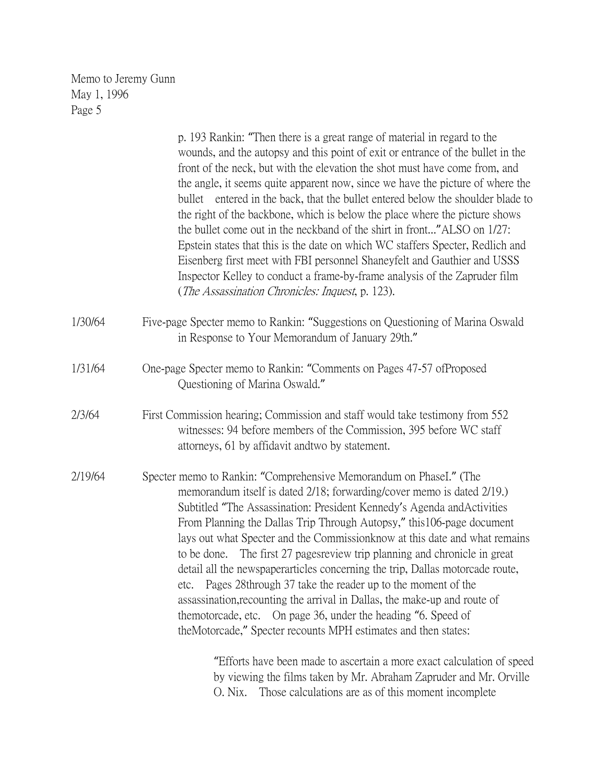|         | p. 193 Rankin: "Then there is a great range of material in regard to the<br>wounds, and the autopsy and this point of exit or entrance of the bullet in the<br>front of the neck, but with the elevation the shot must have come from, and<br>the angle, it seems quite apparent now, since we have the picture of where the<br>bullet entered in the back, that the bullet entered below the shoulder blade to<br>the right of the backbone, which is below the place where the picture shows<br>the bullet come out in the neckband of the shirt in front" ALSO on 1/27:<br>Epstein states that this is the date on which WC staffers Specter, Redlich and<br>Eisenberg first meet with FBI personnel Shaneyfelt and Gauthier and USSS<br>Inspector Kelley to conduct a frame-by-frame analysis of the Zapruder film<br>(The Assassination Chronicles: Inquest, p. 123). |
|---------|----------------------------------------------------------------------------------------------------------------------------------------------------------------------------------------------------------------------------------------------------------------------------------------------------------------------------------------------------------------------------------------------------------------------------------------------------------------------------------------------------------------------------------------------------------------------------------------------------------------------------------------------------------------------------------------------------------------------------------------------------------------------------------------------------------------------------------------------------------------------------|
| 1/30/64 | Five-page Specter memo to Rankin: "Suggestions on Questioning of Marina Oswald<br>in Response to Your Memorandum of January 29th."                                                                                                                                                                                                                                                                                                                                                                                                                                                                                                                                                                                                                                                                                                                                         |
| 1/31/64 | One-page Specter memo to Rankin: "Comments on Pages 47-57 ofProposed<br>Questioning of Marina Oswald."                                                                                                                                                                                                                                                                                                                                                                                                                                                                                                                                                                                                                                                                                                                                                                     |
| 2/3/64  | First Commission hearing; Commission and staff would take testimony from 552<br>witnesses: 94 before members of the Commission, 395 before WC staff<br>attorneys, 61 by affidavit and two by statement.                                                                                                                                                                                                                                                                                                                                                                                                                                                                                                                                                                                                                                                                    |
| 2/19/64 | Specter memo to Rankin: "Comprehensive Memorandum on PhaseI." (The<br>memorandum itself is dated 2/18; forwarding/cover memo is dated 2/19.)<br>Subtitled "The Assassination: President Kennedy's Agenda and Activities<br>From Planning the Dallas Trip Through Autopsy," this 106-page document<br>lays out what Specter and the Commission know at this date and what remains<br>The first 27 pages review trip planning and chronicle in great<br>to be done.<br>detail all the newspaperarticles concerning the trip, Dallas motorcade route,<br>Pages 28through 37 take the reader up to the moment of the<br>etc.<br>assassination, recounting the arrival in Dallas, the make-up and route of<br>themotorcade, etc. On page 36, under the heading "6. Speed of<br>theMotorcade," Specter recounts MPH estimates and then states:                                   |
|         | "Efforts have been made to ascertain a more exact calculation of speed<br>by viewing the films taken by Mr. Abraham Zapruder and Mr. Orville                                                                                                                                                                                                                                                                                                                                                                                                                                                                                                                                                                                                                                                                                                                               |

O. Nix. Those calculations are as of this moment incomplete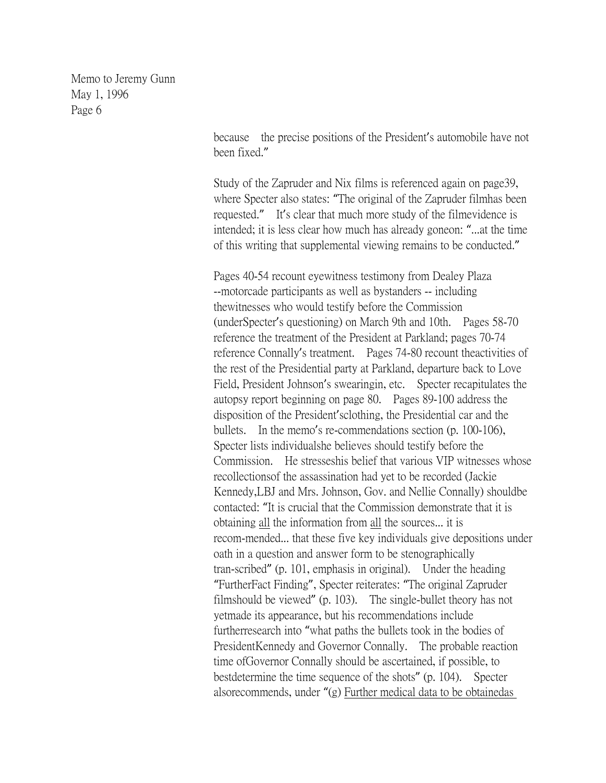> because the precise positions of the President's automobile have not been fixed."

> Study of the Zapruder and Nix films is referenced again on page39, where Specter also states: "The original of the Zapruder filmhas been requested." It's clear that much more study of the filmevidence is intended; it is less clear how much has already goneon: "...at the time of this writing that supplemental viewing remains to be conducted."

Pages 40-54 recount eyewitness testimony from Dealey Plaza --motorcade participants as well as bystanders -- including thewitnesses who would testify before the Commission (underSpecter's questioning) on March 9th and 10th. Pages 58-70 reference the treatment of the President at Parkland; pages 70-74 reference Connally's treatment. Pages 74-80 recount theactivities of the rest of the Presidential party at Parkland, departure back to Love Field, President Johnson's swearingin, etc. Specter recapitulates the autopsy report beginning on page 80. Pages 89-100 address the disposition of the President'sclothing, the Presidential car and the bullets. In the memo's re-commendations section (p. 100-106), Specter lists individualshe believes should testify before the Commission. He stresseshis belief that various VIP witnesses whose recollectionsof the assassination had yet to be recorded (Jackie Kennedy,LBJ and Mrs. Johnson, Gov. and Nellie Connally) shouldbe contacted: "It is crucial that the Commission demonstrate that it is obtaining all the information from all the sources... it is recom-mended... that these five key individuals give depositions under oath in a question and answer form to be stenographically tran-scribed" (p. 101, emphasis in original). Under the heading "FurtherFact Finding", Specter reiterates: "The original Zapruder filmshould be viewed" (p. 103). The single-bullet theory has not yetmade its appearance, but his recommendations include furtherresearch into "what paths the bullets took in the bodies of PresidentKennedy and Governor Connally. The probable reaction time ofGovernor Connally should be ascertained, if possible, to bestdetermine the time sequence of the shots" (p. 104). Specter alsorecommends, under "(g) Further medical data to be obtainedas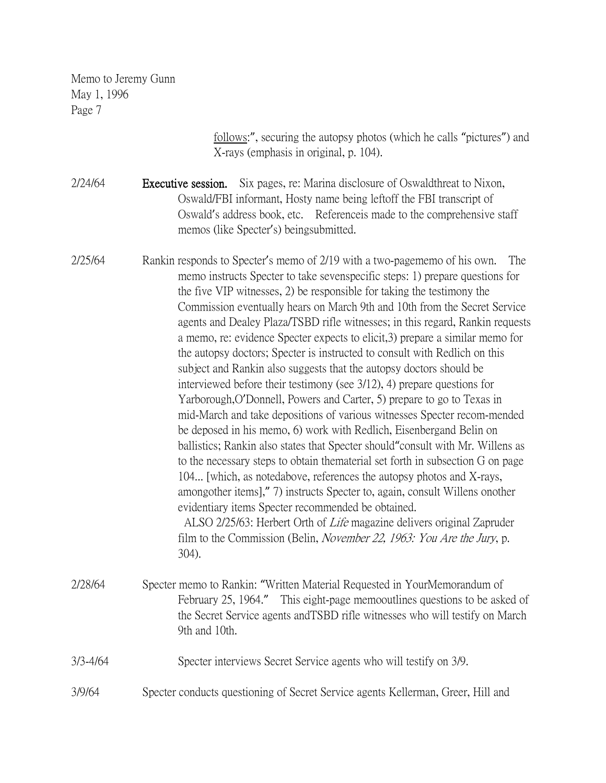> follows:", securing the autopsy photos (which he calls "pictures") and X-rays (emphasis in original, p. 104).

2/24/64 **Executive session.** Six pages, re: Marina disclosure of Oswaldthreat to Nixon, Oswald/FBI informant, Hosty name being leftoff the FBI transcript of Oswald's address book, etc. Referenceis made to the comprehensive staff memos (like Specter's) beingsubmitted.

2/25/64 Rankin responds to Specter's memo of 2/19 with a two-pagememo of his own. The memo instructs Specter to take sevenspecific steps: 1) prepare questions for the five VIP witnesses, 2) be responsible for taking the testimony the Commission eventually hears on March 9th and 10th from the Secret Service agents and Dealey Plaza/TSBD rifle witnesses; in this regard, Rankin requests a memo, re: evidence Specter expects to elicit,3) prepare a similar memo for the autopsy doctors; Specter is instructed to consult with Redlich on this subject and Rankin also suggests that the autopsy doctors should be interviewed before their testimony (see 3/12), 4) prepare questions for Yarborough,O'Donnell, Powers and Carter, 5) prepare to go to Texas in mid-March and take depositions of various witnesses Specter recom-mended be deposed in his memo, 6) work with Redlich, Eisenbergand Belin on ballistics; Rankin also states that Specter should"consult with Mr. Willens as to the necessary steps to obtain thematerial set forth in subsection G on page 104... [which, as notedabove, references the autopsy photos and X-rays, amongother items]," 7) instructs Specter to, again, consult Willens onother evidentiary items Specter recommended be obtained. ALSO 2/25/63: Herbert Orth of Life magazine delivers original Zapruder film to the Commission (Belin, November 22, 1963: You Are the Jury, p. 304). 2/28/64 Specter memo to Rankin: "Written Material Requested in YourMemorandum of

February 25, 1964." This eight-page memooutlines questions to be asked of the Secret Service agents andTSBD rifle witnesses who will testify on March 9th and 10th.

#### 3/3-4/64 Specter interviews Secret Service agents who will testify on 3/9.

3/9/64 Specter conducts questioning of Secret Service agents Kellerman, Greer, Hill and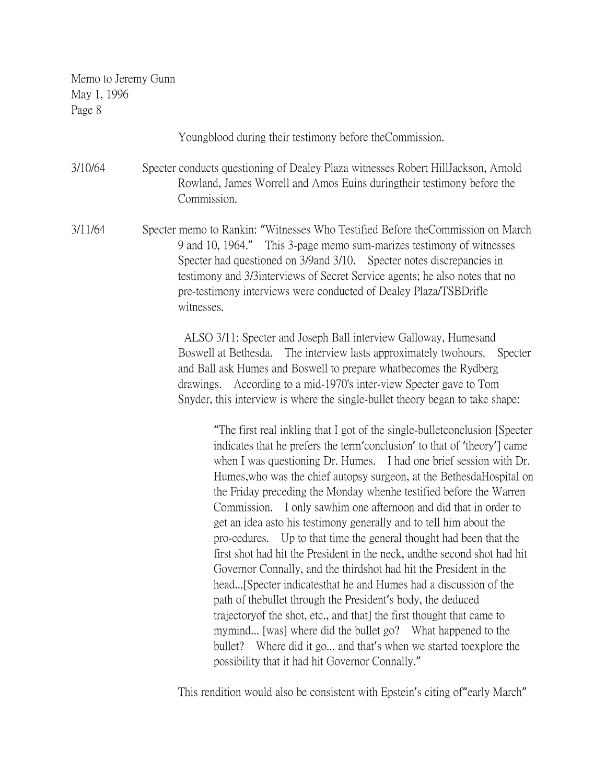Youngblood during their testimony before theCommission.

3/10/64 Specter conducts questioning of Dealey Plaza witnesses Robert HillJackson, Arnold Rowland, James Worrell and Amos Euins duringtheir testimony before the Commission.

3/11/64 Specter memo to Rankin: "Witnesses Who Testified Before theCommission on March 9 and 10, 1964." This 3-page memo sum-marizes testimony of witnesses Specter had questioned on 3/9and 3/10. Specter notes discrepancies in testimony and 3/3interviews of Secret Service agents; he also notes that no pre-testimony interviews were conducted of Dealey Plaza/TSBDrifle witnesses.

> ALSO 3/11: Specter and Joseph Ball interview Galloway, Humesand Boswell at Bethesda. The interview lasts approximately twohours. Specter and Ball ask Humes and Boswell to prepare whatbecomes the Rydberg drawings. According to a mid-1970's inter-view Specter gave to Tom Snyder, this interview is where the single-bullet theory began to take shape:

"The first real inkling that I got of the single-bulletconclusion [Specter indicates that he prefers the term'conclusion' to that of 'theory'] came when I was questioning Dr. Humes. I had one brief session with Dr. Humes,who was the chief autopsy surgeon, at the BethesdaHospital on the Friday preceding the Monday whenhe testified before the Warren Commission. I only sawhim one afternoon and did that in order to get an idea asto his testimony generally and to tell him about the pro-cedures. Up to that time the general thought had been that the first shot had hit the President in the neck, andthe second shot had hit Governor Connally, and the thirdshot had hit the President in the head...[Specter indicatesthat he and Humes had a discussion of the path of thebullet through the President's body, the deduced trajectoryof the shot, etc., and that] the first thought that came to mymind... [was] where did the bullet go? What happened to the bullet? Where did it go... and that's when we started toexplore the possibility that it had hit Governor Connally."

This rendition would also be consistent with Epstein's citing of"early March"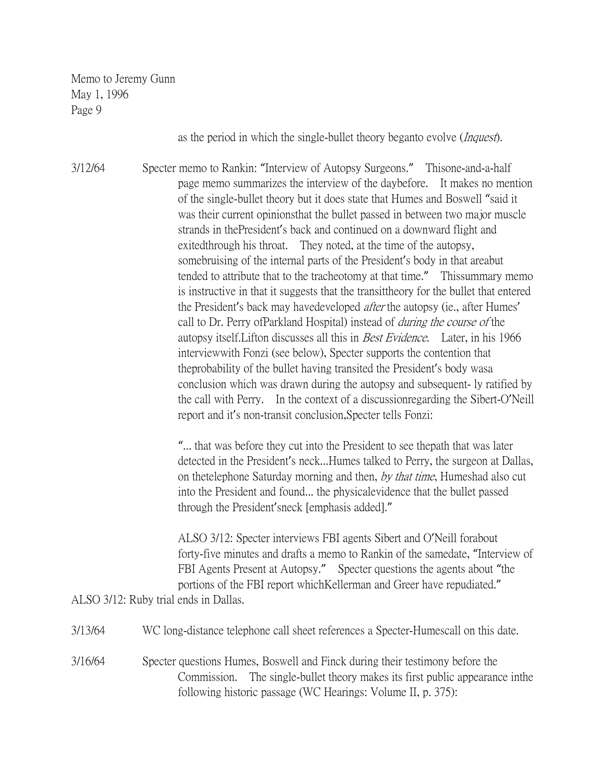as the period in which the single-bullet theory beganto evolve (*Inquest*).

3/12/64 Specter memo to Rankin: "Interview of Autopsy Surgeons." Thisone-and-a-half page memo summarizes the interview of the daybefore. It makes no mention of the single-bullet theory but it does state that Humes and Boswell "said it was their current opinionsthat the bullet passed in between two major muscle strands in thePresident's back and continued on a downward flight and exitedthrough his throat. They noted, at the time of the autopsy, somebruising of the internal parts of the President's body in that areabut tended to attribute that to the tracheotomy at that time." Thissummary memo is instructive in that it suggests that the transittheory for the bullet that entered the President's back may havedeveloped *after* the autopsy (ie., after Humes' call to Dr. Perry ofParkland Hospital) instead of during the course of the autopsy itself.Lifton discusses all this in Best Evidence. Later, in his 1966 interviewwith Fonzi (see below), Specter supports the contention that theprobability of the bullet having transited the President's body wasa conclusion which was drawn during the autopsy and subsequent- ly ratified by the call with Perry. In the context of a discussionregarding the Sibert-O'Neill report and it's non-transit conclusion,Specter tells Fonzi:

> "... that was before they cut into the President to see thepath that was later detected in the President's neck...Humes talked to Perry, the surgeon at Dallas, on thetelephone Saturday morning and then, by that time, Humeshad also cut into the President and found... the physicalevidence that the bullet passed through the President'sneck [emphasis added]."

> ALSO 3/12: Specter interviews FBI agents Sibert and O'Neill forabout forty-five minutes and drafts a memo to Rankin of the samedate, "Interview of FBI Agents Present at Autopsy." Specter questions the agents about "the portions of the FBI report whichKellerman and Greer have repudiated."

ALSO 3/12: Ruby trial ends in Dallas.

| 3/13/64 | WC long-distance telephone call sheet references a Specter-Humescall on this date.                                                                                                                                            |
|---------|-------------------------------------------------------------------------------------------------------------------------------------------------------------------------------------------------------------------------------|
| 3/16/64 | Specter questions Humes, Boswell and Finck during their testimony before the<br>Commission. The single-bullet theory makes its first public appearance in the<br>following historic passage (WC Hearings: Volume II, p. 375): |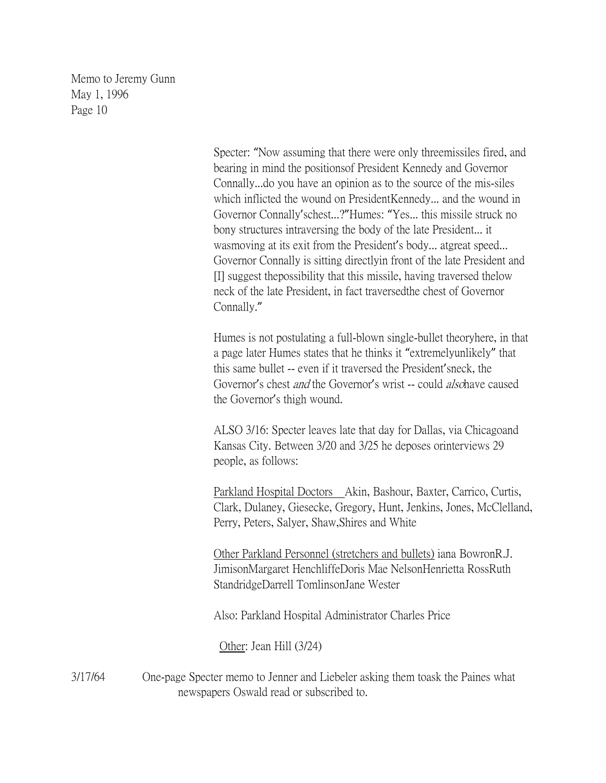> Specter: "Now assuming that there were only threemissiles fired, and bearing in mind the positionsof President Kennedy and Governor Connally...do you have an opinion as to the source of the mis-siles which inflicted the wound on PresidentKennedy... and the wound in Governor Connally'schest...?"Humes: "Yes... this missile struck no bony structures intraversing the body of the late President... it wasmoving at its exit from the President's body... atgreat speed... Governor Connally is sitting directlyin front of the late President and [I] suggest thepossibility that this missile, having traversed thelow neck of the late President, in fact traversedthe chest of Governor Connally."

> Humes is not postulating a full-blown single-bullet theoryhere, in that a page later Humes states that he thinks it "extremelyunlikely" that this same bullet -- even if it traversed the President'sneck, the Governor's chest *and* the Governor's wrist -- could *also* have caused the Governor's thigh wound.

ALSO 3/16: Specter leaves late that day for Dallas, via Chicagoand Kansas City. Between 3/20 and 3/25 he deposes orinterviews 29 people, as follows:

Parkland Hospital Doctors Akin, Bashour, Baxter, Carrico, Curtis, Clark, Dulaney, Giesecke, Gregory, Hunt, Jenkins, Jones, McClelland, Perry, Peters, Salyer, Shaw,Shires and White

Other Parkland Personnel (stretchers and bullets) iana BowronR.J. JimisonMargaret HenchliffeDoris Mae NelsonHenrietta RossRuth StandridgeDarrell TomlinsonJane Wester

Also: Parkland Hospital Administrator Charles Price

Other: Jean Hill (3/24)

3/17/64 One-page Specter memo to Jenner and Liebeler asking them toask the Paines what newspapers Oswald read or subscribed to.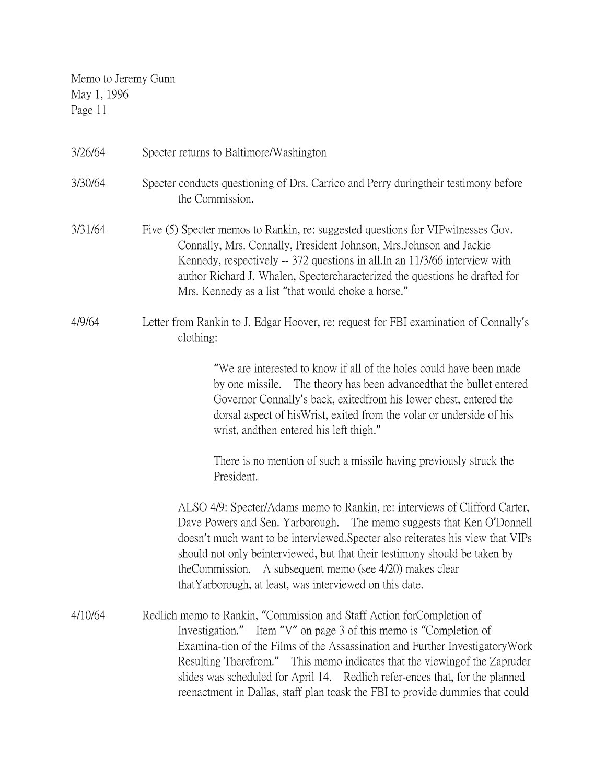| 3/26/64 | Specter returns to Baltimore/Washington                                                                                                                                                                                                                                                                                                                                                                                                                                     |
|---------|-----------------------------------------------------------------------------------------------------------------------------------------------------------------------------------------------------------------------------------------------------------------------------------------------------------------------------------------------------------------------------------------------------------------------------------------------------------------------------|
| 3/30/64 | Specter conducts questioning of Drs. Carrico and Perry during their testimony before<br>the Commission.                                                                                                                                                                                                                                                                                                                                                                     |
| 3/31/64 | Five (5) Specter memos to Rankin, re: suggested questions for VIP witnesses Gov.<br>Connally, Mrs. Connally, President Johnson, Mrs. Johnson and Jackie<br>Kennedy, respectively -- 372 questions in all. In an 11/3/66 interview with<br>author Richard J. Whalen, Spectercharacterized the questions he drafted for<br>Mrs. Kennedy as a list "that would choke a horse."                                                                                                 |
| 4/9/64  | Letter from Rankin to J. Edgar Hoover, re: request for FBI examination of Connally's<br>clothing:                                                                                                                                                                                                                                                                                                                                                                           |
|         | "We are interested to know if all of the holes could have been made<br>by one missile. The theory has been advanced that the bullet entered<br>Governor Connally's back, exitedfrom his lower chest, entered the<br>dorsal aspect of his Wrist, exited from the volar or underside of his<br>wrist, and then entered his left thigh."                                                                                                                                       |
|         | There is no mention of such a missile having previously struck the<br>President.                                                                                                                                                                                                                                                                                                                                                                                            |
|         | ALSO 4/9: Specter/Adams memo to Rankin, re: interviews of Clifford Carter,<br>Dave Powers and Sen. Yarborough. The memo suggests that Ken O'Donnell<br>doesn't much want to be interviewed. Specter also reiterates his view that VIPs<br>should not only beinterviewed, but that their testimony should be taken by<br>theCommission. A subsequent memo (see 4/20) makes clear<br>that Yarborough, at least, was interviewed on this date.                                 |
| 4/10/64 | Redlich memo to Rankin, "Commission and Staff Action for Completion of<br>Investigation." Item "V" on page 3 of this memo is "Completion of<br>Examina-tion of the Films of the Assassination and Further Investigatory Work<br>Resulting Therefrom." This memo indicates that the viewing of the Zapruder<br>slides was scheduled for April 14. Redlich refer-ences that, for the planned<br>reenactment in Dallas, staff plan toask the FBI to provide dummies that could |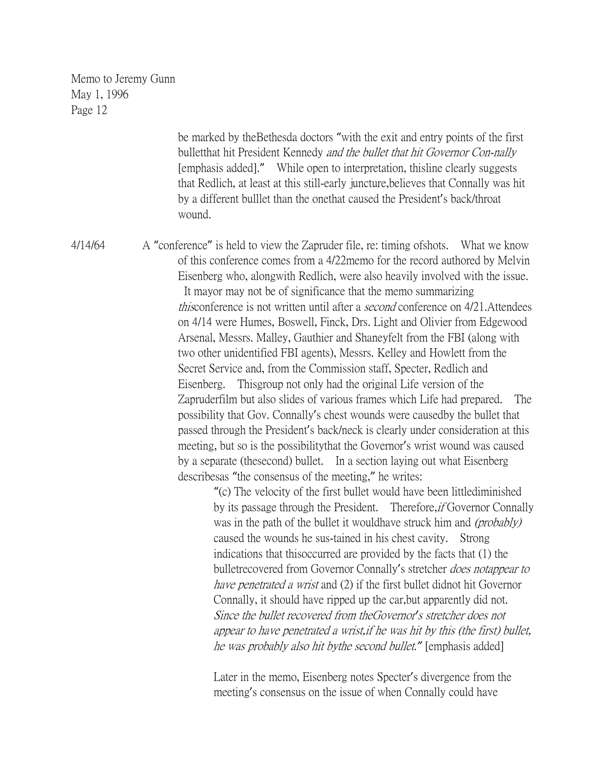> be marked by theBethesda doctors "with the exit and entry points of the first bulletthat hit President Kennedy and the bullet that hit Governor Con-nally [emphasis added]." While open to interpretation, thisline clearly suggests that Redlich, at least at this still-early juncture,believes that Connally was hit by a different bulllet than the onethat caused the President's back/throat wound.

4/14/64 A "conference" is held to view the Zapruder file, re: timing ofshots. What we know of this conference comes from a 4/22memo for the record authored by Melvin Eisenberg who, alongwith Redlich, were also heavily involved with the issue. It mayor may not be of significance that the memo summarizing thisconference is not written until after a *second* conference on 4/21. Attendees on 4/14 were Humes, Boswell, Finck, Drs. Light and Olivier from Edgewood Arsenal, Messrs. Malley, Gauthier and Shaneyfelt from the FBI (along with two other unidentified FBI agents), Messrs. Kelley and Howlett from the Secret Service and, from the Commission staff, Specter, Redlich and Eisenberg. Thisgroup not only had the original Life version of the Zapruderfilm but also slides of various frames which Life had prepared. The possibility that Gov. Connally's chest wounds were causedby the bullet that passed through the President's back/neck is clearly under consideration at this meeting, but so is the possibilitythat the Governor's wrist wound was caused by a separate (thesecond) bullet. In a section laying out what Eisenberg describesas "the consensus of the meeting," he writes:

> "(c) The velocity of the first bullet would have been littlediminished by its passage through the President. Therefore, *if* Governor Connally was in the path of the bullet it wouldhave struck him and *(probably)* caused the wounds he sus-tained in his chest cavity. Strong indications that thisoccurred are provided by the facts that (1) the bulletrecovered from Governor Connally's stretcher does notappear to have penetrated a wrist and (2) if the first bullet didnot hit Governor Connally, it should have ripped up the car,but apparently did not. Since the bullet recovered from theGovernor*'*<sup>s</sup> stretcher does not appear to have penetrated a wrist,if he was hit by this (the first) bullet, he was probably also hit bythe second bullet.*"* [emphasis added]

Later in the memo, Eisenberg notes Specter's divergence from the meeting's consensus on the issue of when Connally could have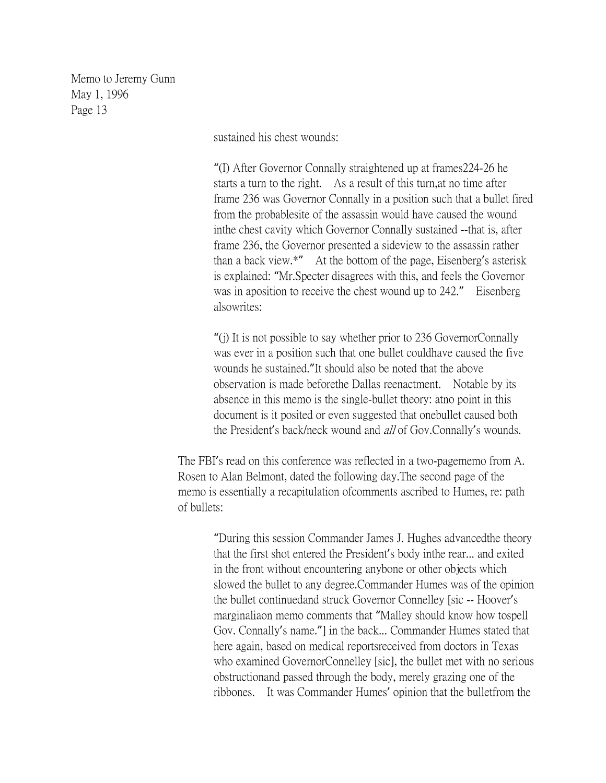sustained his chest wounds:

"(I) After Governor Connally straightened up at frames224-26 he starts a turn to the right. As a result of this turn,at no time after frame 236 was Governor Connally in a position such that a bullet fired from the probablesite of the assassin would have caused the wound inthe chest cavity which Governor Connally sustained --that is, after frame 236, the Governor presented a sideview to the assassin rather than a back view.\*" At the bottom of the page, Eisenberg's asterisk is explained: "Mr.Specter disagrees with this, and feels the Governor was in aposition to receive the chest wound up to 242." Eisenberg alsowrites:

"(j) It is not possible to say whether prior to 236 GovernorConnally was ever in a position such that one bullet couldhave caused the five wounds he sustained."It should also be noted that the above observation is made beforethe Dallas reenactment. Notable by its absence in this memo is the single-bullet theory: atno point in this document is it posited or even suggested that onebullet caused both the President's back/neck wound and *all* of Gov.Connally's wounds.

The FBI's read on this conference was reflected in a two-pagememo from A. Rosen to Alan Belmont, dated the following day.The second page of the memo is essentially a recapitulation ofcomments ascribed to Humes, re: path of bullets:

> "During this session Commander James J. Hughes advancedthe theory that the first shot entered the President's body inthe rear... and exited in the front without encountering anybone or other objects which slowed the bullet to any degree.Commander Humes was of the opinion the bullet continuedand struck Governor Connelley [sic -- Hoover's marginaliaon memo comments that "Malley should know how tospell Gov. Connally's name."] in the back... Commander Humes stated that here again, based on medical reportsreceived from doctors in Texas who examined GovernorConnelley [sic], the bullet met with no serious obstructionand passed through the body, merely grazing one of the ribbones. It was Commander Humes' opinion that the bulletfrom the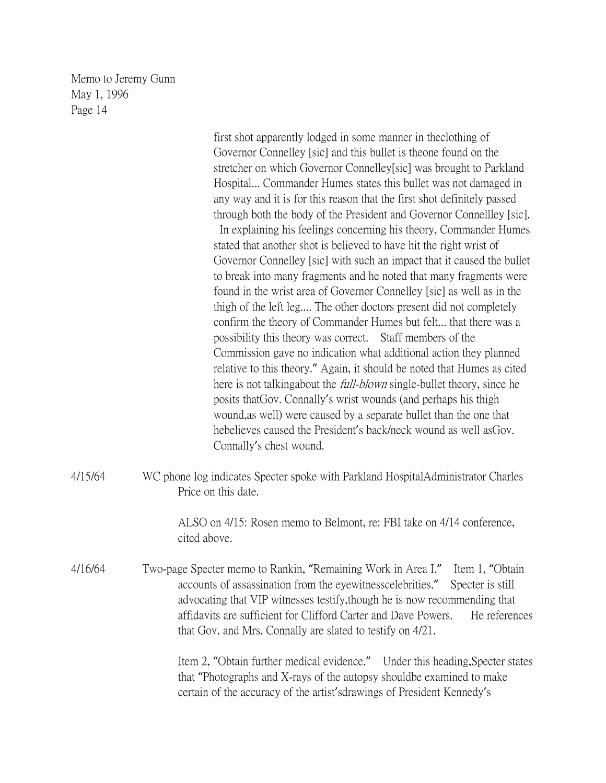|         | first shot apparently lodged in some manner in the clothing of<br>Governor Connelley [sic] and this bullet is theone found on the<br>stretcher on which Governor Connelley[sic] was brought to Parkland<br>Hospital Commander Humes states this bullet was not damaged in<br>any way and it is for this reason that the first shot definitely passed<br>through both the body of the President and Governor Connellley [sic].<br>In explaining his feelings concerning his theory, Commander Humes<br>stated that another shot is believed to have hit the right wrist of<br>Governor Connelley [sic] with such an impact that it caused the bullet<br>to break into many fragments and he noted that many fragments were<br>found in the wrist area of Governor Connelley [sic] as well as in the<br>thigh of the left leg The other doctors present did not completely<br>confirm the theory of Commander Humes but felt that there was a<br>possibility this theory was correct. Staff members of the<br>Commission gave no indication what additional action they planned<br>relative to this theory." Again, it should be noted that Humes as cited<br>here is not talking about the <i>full-blown</i> single-bullet theory, since he<br>posits that Gov. Connally's wrist wounds (and perhaps his thigh<br>wound, as well) were caused by a separate bullet than the one that<br>hebelieves caused the President's back/neck wound as well as Gov.<br>Connally's chest wound. |
|---------|-------------------------------------------------------------------------------------------------------------------------------------------------------------------------------------------------------------------------------------------------------------------------------------------------------------------------------------------------------------------------------------------------------------------------------------------------------------------------------------------------------------------------------------------------------------------------------------------------------------------------------------------------------------------------------------------------------------------------------------------------------------------------------------------------------------------------------------------------------------------------------------------------------------------------------------------------------------------------------------------------------------------------------------------------------------------------------------------------------------------------------------------------------------------------------------------------------------------------------------------------------------------------------------------------------------------------------------------------------------------------------------------------------------------------------------------------------------------------------------|
| 4/15/64 | WC phone log indicates Specter spoke with Parkland HospitalAdministrator Charles<br>Price on this date.                                                                                                                                                                                                                                                                                                                                                                                                                                                                                                                                                                                                                                                                                                                                                                                                                                                                                                                                                                                                                                                                                                                                                                                                                                                                                                                                                                             |
|         | ALSO on 4/15: Rosen memo to Belmont, re: FBI take on 4/14 conference,<br>cited above.                                                                                                                                                                                                                                                                                                                                                                                                                                                                                                                                                                                                                                                                                                                                                                                                                                                                                                                                                                                                                                                                                                                                                                                                                                                                                                                                                                                               |
| 4/16/64 | Two-page Specter memo to Rankin, "Remaining Work in Area I."<br>Item 1, "Obtain<br>accounts of assassination from the eyewitness celebrities."<br>Specter is still<br>advocating that VIP witnesses testify, though he is now recommending that<br>affidavits are sufficient for Clifford Carter and Dave Powers.<br>He references<br>that Gov. and Mrs. Connally are slated to testify on 4/21.                                                                                                                                                                                                                                                                                                                                                                                                                                                                                                                                                                                                                                                                                                                                                                                                                                                                                                                                                                                                                                                                                    |
|         | Item 2, "Obtain further medical evidence." Under this heading, Specter states<br>that "Photographs and X-rays of the autopsy should be examined to make<br>certain of the accuracy of the artist'sdrawings of President Kennedy's                                                                                                                                                                                                                                                                                                                                                                                                                                                                                                                                                                                                                                                                                                                                                                                                                                                                                                                                                                                                                                                                                                                                                                                                                                                   |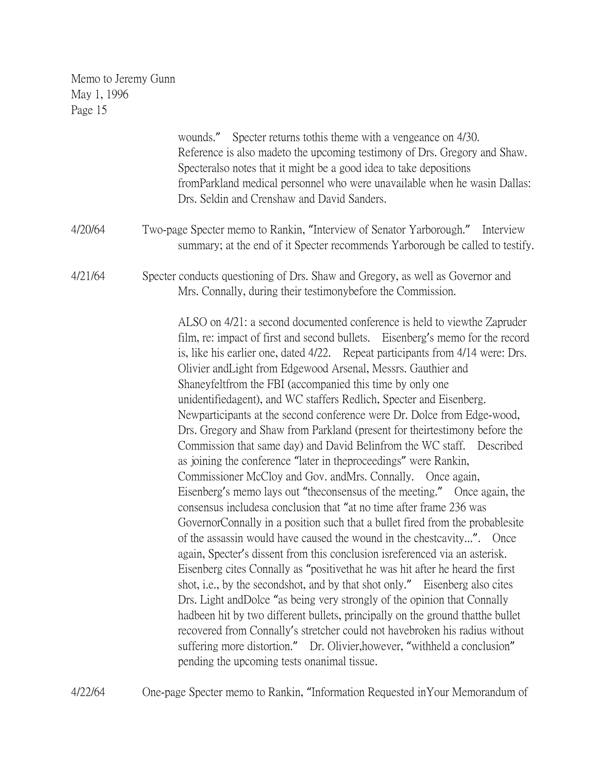|         | wounds." Specter returns to this theme with a vengeance on 4/30.<br>Reference is also made to the upcoming testimony of Drs. Gregory and Shaw.<br>Specteralso notes that it might be a good idea to take depositions<br>fromParkland medical personnel who were unavailable when he wasin Dallas:<br>Drs. Seldin and Crenshaw and David Sanders.                                                                                                                                                                                                                                                                                                                                                                                                                                                                                                                                                                                                                                                                                                                                                                                                                                                                                                                                                                                                                                                                                                                                                                                                                                                                                                                                                                                                                   |
|---------|--------------------------------------------------------------------------------------------------------------------------------------------------------------------------------------------------------------------------------------------------------------------------------------------------------------------------------------------------------------------------------------------------------------------------------------------------------------------------------------------------------------------------------------------------------------------------------------------------------------------------------------------------------------------------------------------------------------------------------------------------------------------------------------------------------------------------------------------------------------------------------------------------------------------------------------------------------------------------------------------------------------------------------------------------------------------------------------------------------------------------------------------------------------------------------------------------------------------------------------------------------------------------------------------------------------------------------------------------------------------------------------------------------------------------------------------------------------------------------------------------------------------------------------------------------------------------------------------------------------------------------------------------------------------------------------------------------------------------------------------------------------------|
| 4/20/64 | Two-page Specter memo to Rankin, "Interview of Senator Yarborough." Interview<br>summary; at the end of it Specter recommends Yarborough be called to testify.                                                                                                                                                                                                                                                                                                                                                                                                                                                                                                                                                                                                                                                                                                                                                                                                                                                                                                                                                                                                                                                                                                                                                                                                                                                                                                                                                                                                                                                                                                                                                                                                     |
| 4/21/64 | Specter conducts questioning of Drs. Shaw and Gregory, as well as Governor and<br>Mrs. Connally, during their testimony before the Commission.                                                                                                                                                                                                                                                                                                                                                                                                                                                                                                                                                                                                                                                                                                                                                                                                                                                                                                                                                                                                                                                                                                                                                                                                                                                                                                                                                                                                                                                                                                                                                                                                                     |
|         | ALSO on 4/21: a second documented conference is held to viewthe Zapruder<br>film, re: impact of first and second bullets. Eisenberg's memo for the record<br>is, like his earlier one, dated 4/22. Repeat participants from 4/14 were: Drs.<br>Olivier and Light from Edgewood Arsenal, Messrs. Gauthier and<br>Shaneyfeltfrom the FBI (accompanied this time by only one<br>unidentifiedagent), and WC staffers Redlich, Specter and Eisenberg.<br>Newparticipants at the second conference were Dr. Dolce from Edge-wood,<br>Drs. Gregory and Shaw from Parkland (present for theirtestimony before the<br>Commission that same day) and David Belinfrom the WC staff. Described<br>as joining the conference "later in the proceedings" were Rankin,<br>Commissioner McCloy and Gov. and Mrs. Connally. Once again,<br>Eisenberg's memo lays out "the consensus of the meeting." Once again, the<br>consensus includesa conclusion that "at no time after frame 236 was<br>Governor Connally in a position such that a bullet fired from the probablesite<br>of the assassin would have caused the wound in the chestcavity". Once<br>again, Specter's dissent from this conclusion is referenced via an asterisk.<br>Eisenberg cites Connally as "positive that he was hit after he heard the first<br>shot, i.e., by the secondshot, and by that shot only." Eisenberg also cites<br>Drs. Light and Dolce "as being very strongly of the opinion that Connally<br>hadbeen hit by two different bullets, principally on the ground that the bullet<br>recovered from Connally's stretcher could not havebroken his radius without<br>suffering more distortion." Dr. Olivier, however, "withheld a conclusion"<br>pending the upcoming tests on animal tissue. |

4/22/64 One-page Specter memo to Rankin, "Information Requested inYour Memorandum of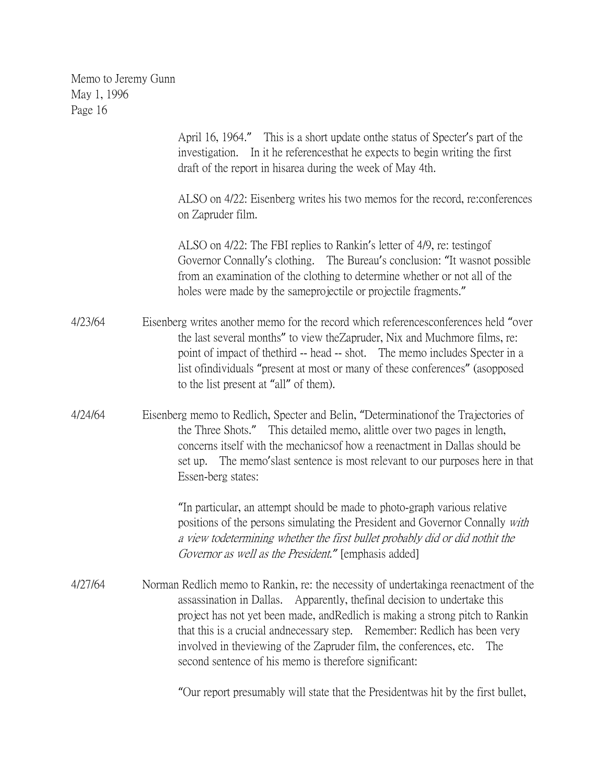> April 16, 1964." This is a short update onthe status of Specter's part of the investigation. In it he referencesthat he expects to begin writing the first draft of the report in hisarea during the week of May 4th.

ALSO on 4/22: Eisenberg writes his two memos for the record, re:conferences on Zapruder film.

ALSO on 4/22: The FBI replies to Rankin's letter of 4/9, re: testingof Governor Connally's clothing. The Bureau's conclusion: "It wasnot possible from an examination of the clothing to determine whether or not all of the holes were made by the sameprojectile or projectile fragments."

- 4/23/64 Eisenberg writes another memo for the record which referencesconferences held "over the last several months" to view theZapruder, Nix and Muchmore films, re: point of impact of thethird -- head -- shot. The memo includes Specter in a list ofindividuals "present at most or many of these conferences" (asopposed to the list present at "all" of them).
- 4/24/64 Eisenberg memo to Redlich, Specter and Belin, "Determinationof the Trajectories of the Three Shots." This detailed memo, alittle over two pages in length, concerns itself with the mechanicsof how a reenactment in Dallas should be set up. The memo'slast sentence is most relevant to our purposes here in that Essen-berg states:

"In particular, an attempt should be made to photo-graph various relative positions of the persons simulating the President and Governor Connally with a view todetermining whether the first bullet probably did or did nothit the Governor as well as the President.*"* [emphasis added]

4/27/64 Norman Redlich memo to Rankin, re: the necessity of undertakinga reenactment of the assassination in Dallas. Apparently, thefinal decision to undertake this project has not yet been made, andRedlich is making a strong pitch to Rankin that this is a crucial andnecessary step. Remember: Redlich has been very involved in theviewing of the Zapruder film, the conferences, etc. The second sentence of his memo is therefore significant:

"Our report presumably will state that the Presidentwas hit by the first bullet,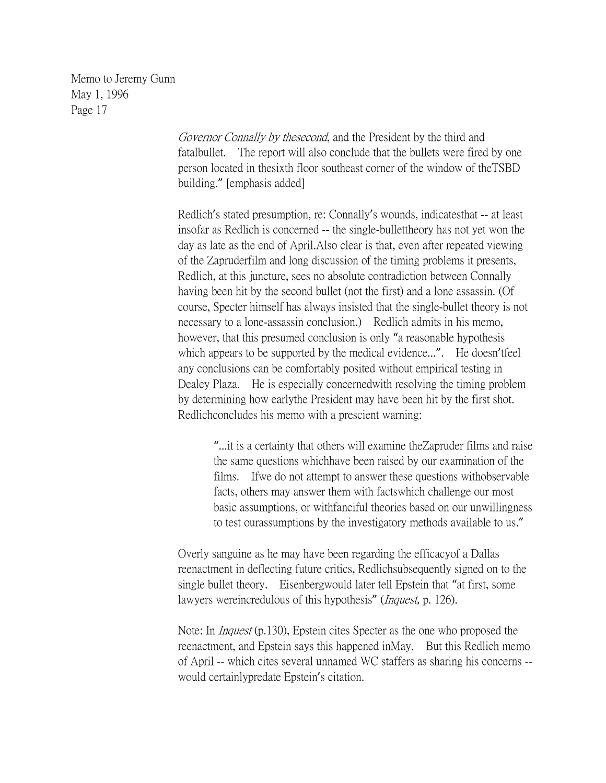> Governor Connally by thesecond, and the President by the third and fatalbullet. The report will also conclude that the bullets were fired by one person located in thesixth floor southeast corner of the window of theTSBD building." [emphasis added]

Redlich's stated presumption, re: Connally's wounds, indicatesthat -- at least insofar as Redlich is concerned -- the single-bullettheory has not yet won the day as late as the end of April.Also clear is that, even after repeated viewing of the Zapruderfilm and long discussion of the timing problems it presents, Redlich, at this juncture, sees no absolute contradiction between Connally having been hit by the second bullet (not the first) and a lone assassin. (Of course, Specter himself has always insisted that the single-bullet theory is not necessary to a lone-assassin conclusion.) Redlich admits in his memo, however, that this presumed conclusion is only "a reasonable hypothesis which appears to be supported by the medical evidence...". He doesn'tfeel any conclusions can be comfortably posited without empirical testing in Dealey Plaza. He is especially concernedwith resolving the timing problem by determining how earlythe President may have been hit by the first shot. Redlichconcludes his memo with a prescient warning:

> "...it is a certainty that others will examine theZapruder films and raise the same questions whichhave been raised by our examination of the films. Ifwe do not attempt to answer these questions withobservable facts, others may answer them with factswhich challenge our most basic assumptions, or withfanciful theories based on our unwillingness to test ourassumptions by the investigatory methods available to us."

Overly sanguine as he may have been regarding the efficacyof a Dallas reenactment in deflecting future critics, Redlichsubsequently signed on to the single bullet theory. Eisenbergwould later tell Epstein that "at first, some lawyers wereincredulous of this hypothesis" (*Inquest*, p. 126).

Note: In Inquest (p.130), Epstein cites Specter as the one who proposed the reenactment, and Epstein says this happened inMay. But this Redlich memo of April -- which cites several unnamed WC staffers as sharing his concerns - would certainlypredate Epstein's citation.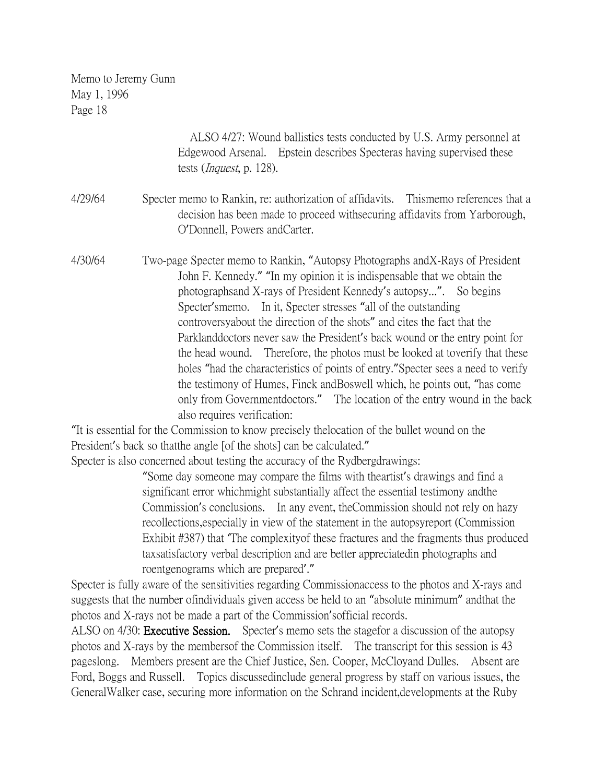ALSO 4/27: Wound ballistics tests conducted by U.S. Army personnel at Edgewood Arsenal. Epstein describes Specteras having supervised these tests (Inquest, p. 128).

- 4/29/64 Specter memo to Rankin, re: authorization of affidavits. Thismemo references that a decision has been made to proceed withsecuring affidavits from Yarborough, O'Donnell, Powers andCarter.
- 4/30/64 Two-page Specter memo to Rankin, "Autopsy Photographs andX-Rays of President John F. Kennedy." "In my opinion it is indispensable that we obtain the photographsand X-rays of President Kennedy's autopsy...". So begins Specter'smemo. In it, Specter stresses "all of the outstanding controversyabout the direction of the shots" and cites the fact that the Parklanddoctors never saw the President's back wound or the entry point for the head wound. Therefore, the photos must be looked at toverify that these holes "had the characteristics of points of entry."Specter sees a need to verify the testimony of Humes, Finck andBoswell which, he points out, "has come only from Governmentdoctors." The location of the entry wound in the back also requires verification:

"It is essential for the Commission to know precisely thelocation of the bullet wound on the President's back so thatthe angle [of the shots] can be calculated."

Specter is also concerned about testing the accuracy of the Rydbergdrawings:

"Some day someone may compare the films with theartist's drawings and find a significant error whichmight substantially affect the essential testimony andthe Commission's conclusions. In any event, theCommission should not rely on hazy recollections,especially in view of the statement in the autopsyreport (Commission Exhibit #387) that 'The complexityof these fractures and the fragments thus produced taxsatisfactory verbal description and are better appreciatedin photographs and roentgenograms which are prepared'."

Specter is fully aware of the sensitivities regarding Commissionaccess to the photos and X-rays and suggests that the number ofindividuals given access be held to an "absolute minimum" andthat the photos and X-rays not be made a part of the Commission'sofficial records.

ALSO on 4/30: **Executive Session.** Specter's memo sets the stagefor a discussion of the autopsy photos and X-rays by the membersof the Commission itself. The transcript for this session is 43 pageslong. Members present are the Chief Justice, Sen. Cooper, McCloyand Dulles. Absent are Ford, Boggs and Russell. Topics discussedinclude general progress by staff on various issues, the GeneralWalker case, securing more information on the Schrand incident,developments at the Ruby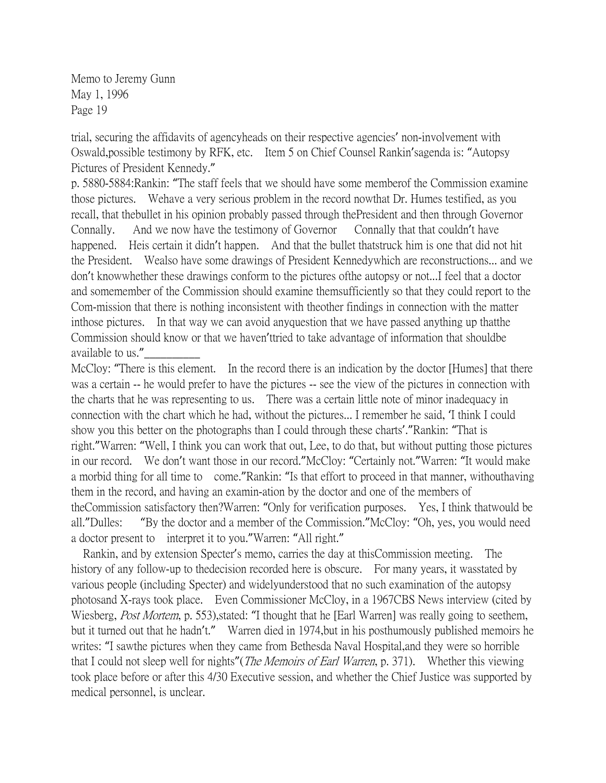trial, securing the affidavits of agencyheads on their respective agencies' non-involvement with Oswald,possible testimony by RFK, etc. Item 5 on Chief Counsel Rankin'sagenda is: "Autopsy Pictures of President Kennedy."

p. 5880-5884:Rankin: "The staff feels that we should have some memberof the Commission examine those pictures. Wehave a very serious problem in the record nowthat Dr. Humes testified, as you recall, that thebullet in his opinion probably passed through thePresident and then through Governor Connally. And we now have the testimony of Governor Connally that that couldn't have happened. Heis certain it didn't happen. And that the bullet thatstruck him is one that did not hit the President. Wealso have some drawings of President Kennedywhich are reconstructions... and we don't knowwhether these drawings conform to the pictures ofthe autopsy or not...I feel that a doctor and somemember of the Commission should examine themsufficiently so that they could report to the Com-mission that there is nothing inconsistent with theother findings in connection with the matter inthose pictures. In that way we can avoid anyquestion that we have passed anything up thatthe Commission should know or that we haven'ttried to take advantage of information that shouldbe available to us."\_\_\_\_\_\_\_\_\_\_

McCloy: "There is this element. In the record there is an indication by the doctor [Humes] that there was a certain -- he would prefer to have the pictures -- see the view of the pictures in connection with the charts that he was representing to us. There was a certain little note of minor inadequacy in connection with the chart which he had, without the pictures... I remember he said, 'I think I could show you this better on the photographs than I could through these charts'."Rankin: "That is right."Warren: "Well, I think you can work that out, Lee, to do that, but without putting those pictures in our record. We don't want those in our record."McCloy: "Certainly not."Warren: "It would make a morbid thing for all time to come."Rankin: "Is that effort to proceed in that manner, withouthaving them in the record, and having an examin-ation by the doctor and one of the members of theCommission satisfactory then?Warren: "Only for verification purposes. Yes, I think thatwould be all."Dulles: "By the doctor and a member of the Commission."McCloy: "Oh, yes, you would need a doctor present to interpret it to you."Warren: "All right."

 Rankin, and by extension Specter's memo, carries the day at thisCommission meeting. The history of any follow-up to the decision recorded here is obscure. For many years, it was stated by various people (including Specter) and widelyunderstood that no such examination of the autopsy photosand X-rays took place. Even Commissioner McCloy, in a 1967CBS News interview (cited by Wiesberg, Post Mortem, p. 553), stated: "I thought that he [Earl Warren] was really going to seethem, but it turned out that he hadn't." Warren died in 1974,but in his posthumously published memoirs he writes: "I sawthe pictures when they came from Bethesda Naval Hospital,and they were so horrible that I could not sleep well for nights" (*The Memoirs of Earl Warren*, p. 371). Whether this viewing took place before or after this 4/30 Executive session, and whether the Chief Justice was supported by medical personnel, is unclear.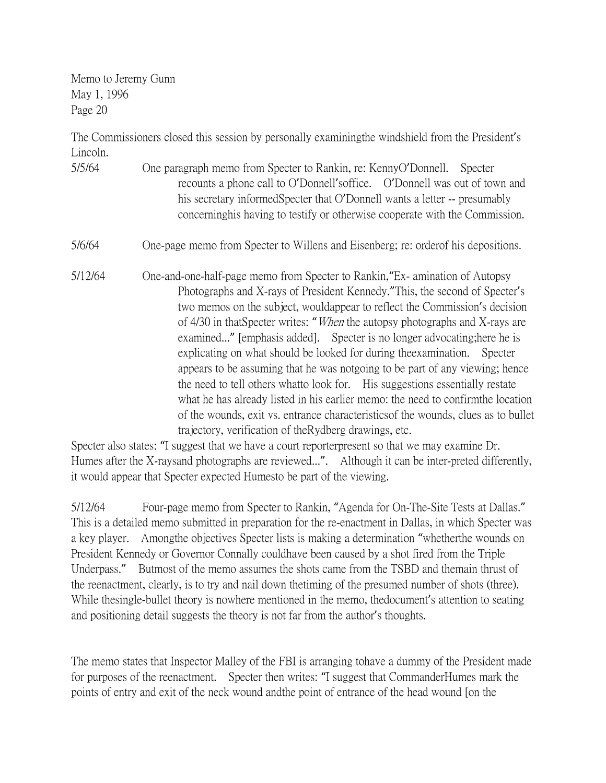The Commissioners closed this session by personally examiningthe windshield from the President's Lincoln.

5/5/64 One paragraph memo from Specter to Rankin, re: KennyO'Donnell. Specter recounts a phone call to O'Donnell'soffice. O'Donnell was out of town and his secretary informedSpecter that O'Donnell wants a letter -- presumably concerninghis having to testify or otherwise cooperate with the Commission.

#### 5/6/64 One-page memo from Specter to Willens and Eisenberg; re: orderof his depositions.

5/12/64 One-and-one-half-page memo from Specter to Rankin,"Ex- amination of Autopsy Photographs and X-rays of President Kennedy."This, the second of Specter's two memos on the subject, wouldappear to reflect the Commission's decision of 4/30 in thatSpecter writes: "When the autopsy photographs and X-rays are examined..." [emphasis added]. Specter is no longer advocating;here he is explicating on what should be looked for during theexamination. Specter appears to be assuming that he was notgoing to be part of any viewing; hence the need to tell others whatto look for. His suggestions essentially restate what he has already listed in his earlier memo: the need to confirmthe location of the wounds, exit vs. entrance characteristicsof the wounds, clues as to bullet trajectory, verification of theRydberg drawings, etc.

Specter also states: "I suggest that we have a court reporterpresent so that we may examine Dr. Humes after the X-raysand photographs are reviewed...". Although it can be inter-preted differently, it would appear that Specter expected Humesto be part of the viewing.

5/12/64 Four-page memo from Specter to Rankin, "Agenda for On-The-Site Tests at Dallas." This is a detailed memo submitted in preparation for the re-enactment in Dallas, in which Specter was a key player. Amongthe objectives Specter lists is making a determination "whetherthe wounds on President Kennedy or Governor Connally couldhave been caused by a shot fired from the Triple Underpass." Butmost of the memo assumes the shots came from the TSBD and themain thrust of the reenactment, clearly, is to try and nail down thetiming of the presumed number of shots (three). While thesingle-bullet theory is nowhere mentioned in the memo, thedocument's attention to seating and positioning detail suggests the theory is not far from the author's thoughts.

The memo states that Inspector Malley of the FBI is arranging tohave a dummy of the President made for purposes of the reenactment. Specter then writes: "I suggest that CommanderHumes mark the points of entry and exit of the neck wound andthe point of entrance of the head wound [on the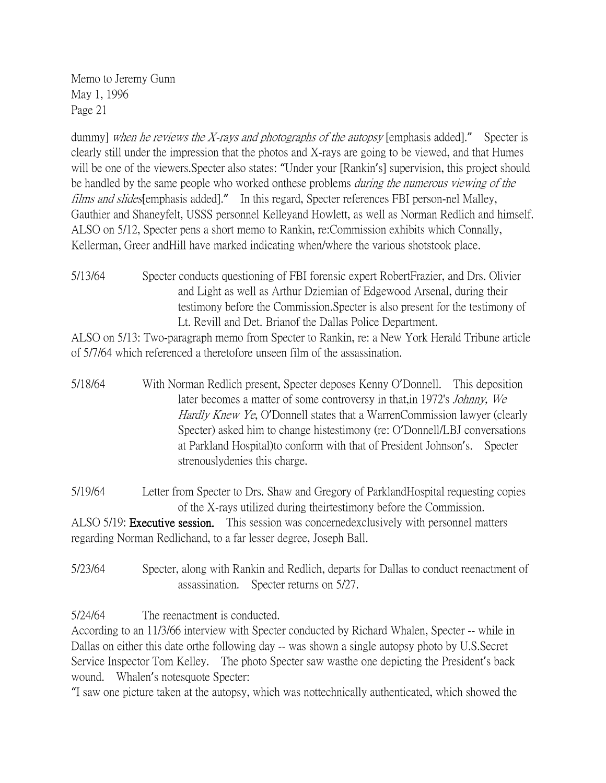dummy] when he reviews the X-rays and photographs of the autopsy [emphasis added]." Specter is clearly still under the impression that the photos and X-rays are going to be viewed, and that Humes will be one of the viewers. Specter also states: "Under your [Rankin's] supervision, this project should be handled by the same people who worked onthese problems *during the numerous viewing of the* films and slides[emphasis added]." In this regard, Specter references FBI person-nel Malley, Gauthier and Shaneyfelt, USSS personnel Kelleyand Howlett, as well as Norman Redlich and himself. ALSO on 5/12, Specter pens a short memo to Rankin, re:Commission exhibits which Connally, Kellerman, Greer andHill have marked indicating when/where the various shotstook place.

5/13/64 Specter conducts questioning of FBI forensic expert RobertFrazier, and Drs. Olivier and Light as well as Arthur Dziemian of Edgewood Arsenal, during their testimony before the Commission.Specter is also present for the testimony of Lt. Revill and Det. Brianof the Dallas Police Department.

ALSO on 5/13: Two-paragraph memo from Specter to Rankin, re: a New York Herald Tribune article of 5/7/64 which referenced a theretofore unseen film of the assassination.

5/18/64 With Norman Redlich present, Specter deposes Kenny O'Donnell. This deposition later becomes a matter of some controversy in that,in 1972's Johnny, We Hardly Knew Ye, O'Donnell states that a WarrenCommission lawyer (clearly Specter) asked him to change histestimony (re: O'Donnell/LBJ conversations at Parkland Hospital)to conform with that of President Johnson's. Specter strenouslydenies this charge.

5/19/64 Letter from Specter to Drs. Shaw and Gregory of ParklandHospital requesting copies of the X-rays utilized during theirtestimony before the Commission. ALSO 5/19: Executive session. This session was concernedexclusively with personnel matters

regarding Norman Redlichand, to a far lesser degree, Joseph Ball.

5/23/64 Specter, along with Rankin and Redlich, departs for Dallas to conduct reenactment of assassination. Specter returns on 5/27.

5/24/64 The reenactment is conducted.

According to an 11/3/66 interview with Specter conducted by Richard Whalen, Specter -- while in Dallas on either this date orthe following day -- was shown a single autopsy photo by U.S.Secret Service Inspector Tom Kelley. The photo Specter saw wasthe one depicting the President's back wound. Whalen's notesquote Specter:

"I saw one picture taken at the autopsy, which was nottechnically authenticated, which showed the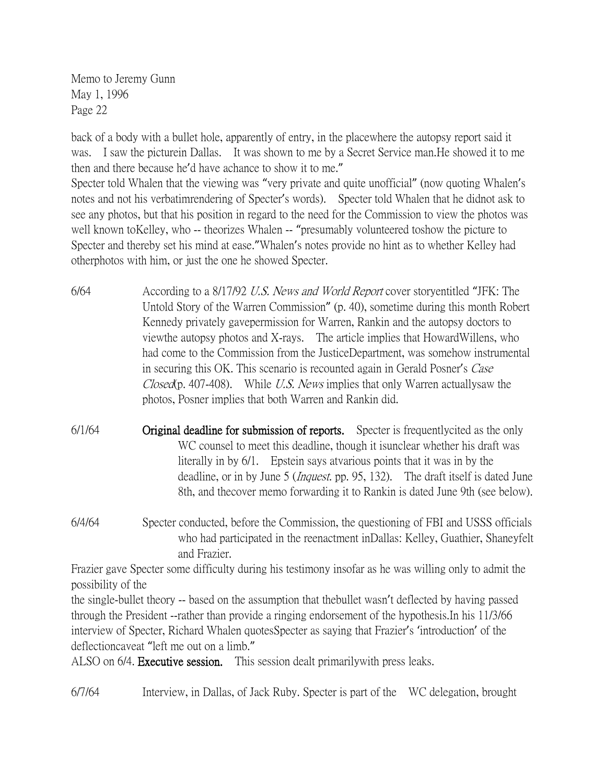back of a body with a bullet hole, apparently of entry, in the placewhere the autopsy report said it was. I saw the picturein Dallas. It was shown to me by a Secret Service man.He showed it to me then and there because he'd have achance to show it to me."

Specter told Whalen that the viewing was "very private and quite unofficial" (now quoting Whalen's notes and not his verbatimrendering of Specter's words). Specter told Whalen that he didnot ask to see any photos, but that his position in regard to the need for the Commission to view the photos was well known toKelley, who -- theorizes Whalen -- "presumably volunteered toshow the picture to Specter and thereby set his mind at ease."Whalen's notes provide no hint as to whether Kelley had otherphotos with him, or just the one he showed Specter.

- 6/64 According to a 8/17/92 U.S. News and World Report cover storyentitled "JFK: The Untold Story of the Warren Commission" (p. 40), sometime during this month Robert Kennedy privately gavepermission for Warren, Rankin and the autopsy doctors to viewthe autopsy photos and X-rays. The article implies that HowardWillens, who had come to the Commission from the JusticeDepartment, was somehow instrumental in securing this OK. This scenario is recounted again in Gerald Posner's Case Closed(p. 407-408). While U.S. News implies that only Warren actually saw the photos, Posner implies that both Warren and Rankin did.
- 6/1/64 Original deadline for submission of reports. Specter is frequentlycited as the only WC counsel to meet this deadline, though it isunclear whether his draft was literally in by 6/1. Epstein says atvarious points that it was in by the deadline, or in by June 5 (*Inquest*, pp. 95, 132). The draft itself is dated June 8th, and thecover memo forwarding it to Rankin is dated June 9th (see below).
- 6/4/64 Specter conducted, before the Commission, the questioning of FBI and USSS officials who had participated in the reenactment inDallas: Kelley, Guathier, Shaneyfelt and Frazier.

Frazier gave Specter some difficulty during his testimony insofar as he was willing only to admit the possibility of the

the single-bullet theory -- based on the assumption that thebullet wasn't deflected by having passed through the President --rather than provide a ringing endorsement of the hypothesis.In his 11/3/66 interview of Specter, Richard Whalen quotesSpecter as saying that Frazier's 'introduction' of the deflectioncaveat "left me out on a limb."

ALSO on 6/4. Executive session. This session dealt primarilywith press leaks.

6/7/64 Interview, in Dallas, of Jack Ruby. Specter is part of the WC delegation, brought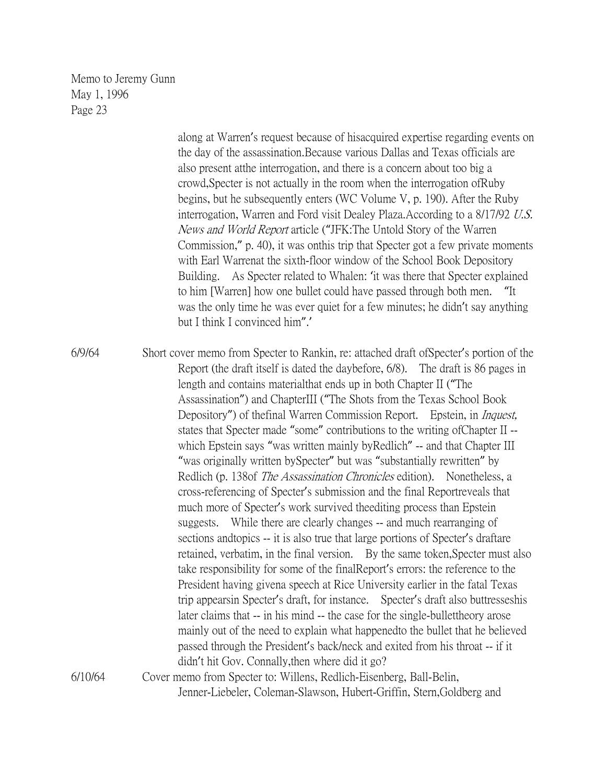> along at Warren's request because of hisacquired expertise regarding events on the day of the assassination.Because various Dallas and Texas officials are also present atthe interrogation, and there is a concern about too big a crowd,Specter is not actually in the room when the interrogation ofRuby begins, but he subsequently enters (WC Volume V, p. 190). After the Ruby interrogation, Warren and Ford visit Dealey Plaza.According to a 8/17/92 U.S. News and World Report article ("JFK:The Untold Story of the Warren Commission," p. 40), it was onthis trip that Specter got a few private moments with Earl Warrenat the sixth-floor window of the School Book Depository Building. As Specter related to Whalen: 'it was there that Specter explained to him [Warren] how one bullet could have passed through both men. "It was the only time he was ever quiet for a few minutes; he didn't say anything but I think I convinced him".'

6/9/64 Short cover memo from Specter to Rankin, re: attached draft ofSpecter's portion of the Report (the draft itself is dated the daybefore, 6/8). The draft is 86 pages in length and contains materialthat ends up in both Chapter II ("The Assassination") and ChapterIII ("The Shots from the Texas School Book Depository") of the final Warren Commission Report. Epstein, in *Inquest*, states that Specter made "some" contributions to the writing ofChapter II - which Epstein says "was written mainly by Redlich" -- and that Chapter III "was originally written bySpecter" but was "substantially rewritten" by Redlich (p. 138of *The Assassination Chronicles* edition). Nonetheless, a cross-referencing of Specter's submission and the final Reportreveals that much more of Specter's work survived theediting process than Epstein suggests. While there are clearly changes -- and much rearranging of sections andtopics -- it is also true that large portions of Specter's draftare retained, verbatim, in the final version. By the same token,Specter must also take responsibility for some of the finalReport's errors: the reference to the President having givena speech at Rice University earlier in the fatal Texas trip appearsin Specter's draft, for instance. Specter's draft also buttresseshis later claims that -- in his mind -- the case for the single-bullettheory arose mainly out of the need to explain what happenedto the bullet that he believed passed through the President's back/neck and exited from his throat -- if it didn't hit Gov. Connally,then where did it go? 6/10/64 Cover memo from Specter to: Willens, Redlich-Eisenberg, Ball-Belin, Jenner-Liebeler, Coleman-Slawson, Hubert-Griffin, Stern,Goldberg and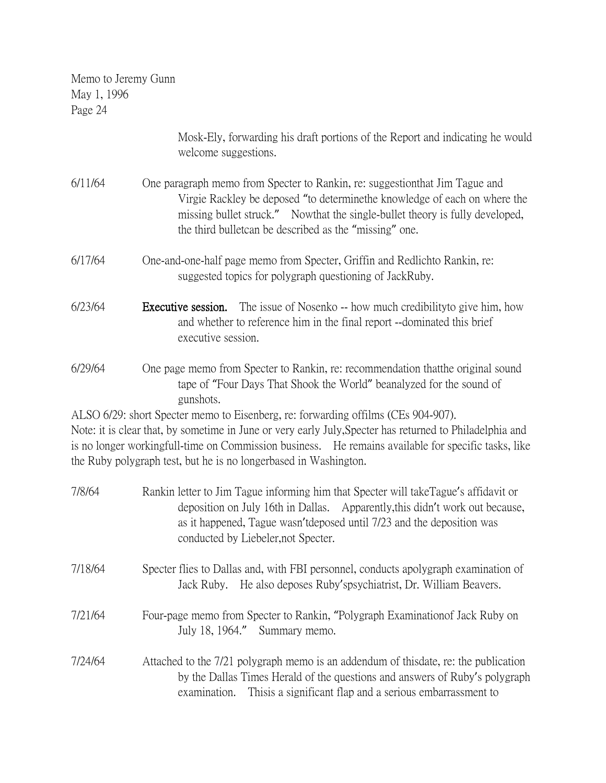| Memo to Jeremy Gunn |
|---------------------|
| May 1, 1996         |
| Page 24             |
|                     |

|         | Mosk-Ely, forwarding his draft portions of the Report and indicating he would<br>welcome suggestions.                                                                                                                                                                                                                                                                    |
|---------|--------------------------------------------------------------------------------------------------------------------------------------------------------------------------------------------------------------------------------------------------------------------------------------------------------------------------------------------------------------------------|
| 6/11/64 | One paragraph memo from Specter to Rankin, re: suggestionthat Jim Tague and<br>Virgie Rackley be deposed "to determine the knowledge of each on where the<br>missing bullet struck." Nowthat the single-bullet theory is fully developed,<br>the third bullet can be described as the "missing" one.                                                                     |
| 6/17/64 | One-and-one-half page memo from Specter, Griffin and Redlichto Rankin, re:<br>suggested topics for polygraph questioning of JackRuby.                                                                                                                                                                                                                                    |
| 6/23/64 | Executive session.<br>The issue of Nosenko -- how much credibility to give him, how<br>and whether to reference him in the final report --dominated this brief<br>executive session.                                                                                                                                                                                     |
| 6/29/64 | One page memo from Specter to Rankin, re: recommendation that the original sound<br>tape of "Four Days That Shook the World" beanalyzed for the sound of<br>gunshots.                                                                                                                                                                                                    |
|         | ALSO 6/29: short Specter memo to Eisenberg, re: forwarding offilms (CEs 904-907).<br>Note: it is clear that, by sometime in June or very early July, Specter has returned to Philadelphia and<br>is no longer workingfull-time on Commission business. He remains available for specific tasks, like<br>the Ruby polygraph test, but he is no longerbased in Washington. |
| 7/8/64  | Rankin letter to Jim Tague informing him that Specter will take Tague's affidavit or<br>deposition on July 16th in Dallas. Apparently, this didn't work out because,<br>as it happened, Tague wasn't deposed until 7/23 and the deposition was<br>conducted by Liebeler, not Specter.                                                                                    |
| 7/18/64 | Specter flies to Dallas and, with FBI personnel, conducts apolygraph examination of<br>He also deposes Ruby's psychiatrist, Dr. William Beavers.<br>Jack Ruby.                                                                                                                                                                                                           |
| 7/21/64 | Four-page memo from Specter to Rankin, "Polygraph Examination of Jack Ruby on<br>July 18, 1964."<br>Summary memo.                                                                                                                                                                                                                                                        |
| 7/24/64 | Attached to the 7/21 polygraph memo is an addendum of thisdate, re: the publication<br>by the Dallas Times Herald of the questions and answers of Ruby's polygraph<br>Thisis a significant flap and a serious embarrassment to<br>examination.                                                                                                                           |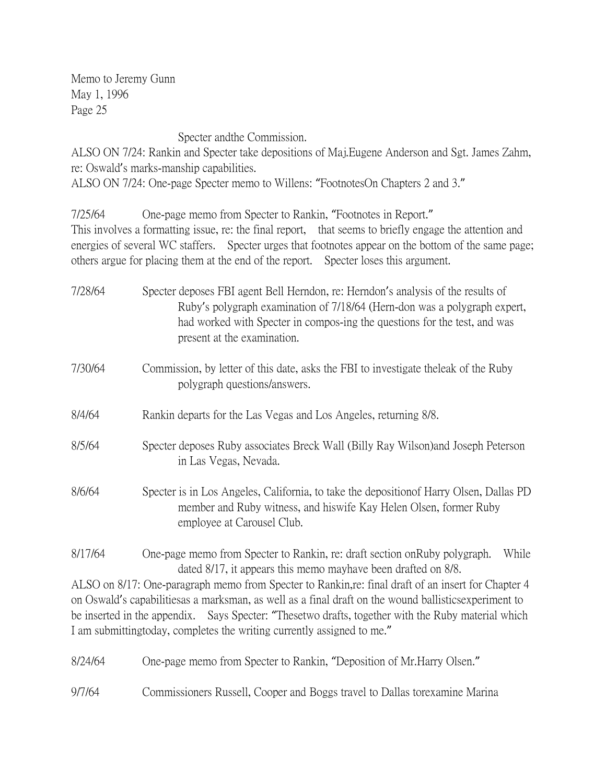Specter andthe Commission.

ALSO ON 7/24: Rankin and Specter take depositions of Maj.Eugene Anderson and Sgt. James Zahm, re: Oswald's marks-manship capabilities.

ALSO ON 7/24: One-page Specter memo to Willens: "FootnotesOn Chapters 2 and 3."

7/25/64 One-page memo from Specter to Rankin, "Footnotes in Report." This involves a formatting issue, re: the final report, that seems to briefly engage the attention and energies of several WC staffers. Specter urges that footnotes appear on the bottom of the same page; others argue for placing them at the end of the report. Specter loses this argument.

- 7/28/64 Specter deposes FBI agent Bell Herndon, re: Herndon's analysis of the results of Ruby's polygraph examination of 7/18/64 (Hern-don was a polygraph expert, had worked with Specter in compos-ing the questions for the test, and was present at the examination.
- 7/30/64 Commission, by letter of this date, asks the FBI to investigate theleak of the Ruby polygraph questions/answers.
- 8/4/64 Rankin departs for the Las Vegas and Los Angeles, returning 8/8.
- 8/5/64 Specter deposes Ruby associates Breck Wall (Billy Ray Wilson)and Joseph Peterson in Las Vegas, Nevada.
- 8/6/64 Specter is in Los Angeles, California, to take the depositionof Harry Olsen, Dallas PD member and Ruby witness, and hiswife Kay Helen Olsen, former Ruby employee at Carousel Club.
- 8/17/64 One-page memo from Specter to Rankin, re: draft section onRuby polygraph. While dated 8/17, it appears this memo mayhave been drafted on 8/8.

ALSO on 8/17: One-paragraph memo from Specter to Rankin,re: final draft of an insert for Chapter 4 on Oswald's capabilitiesas a marksman, as well as a final draft on the wound ballisticsexperiment to be inserted in the appendix. Says Specter: "Thesetwo drafts, together with the Ruby material which I am submittingtoday, completes the writing currently assigned to me."

8/24/64 One-page memo from Specter to Rankin, "Deposition of Mr.Harry Olsen."

9/7/64 Commissioners Russell, Cooper and Boggs travel to Dallas torexamine Marina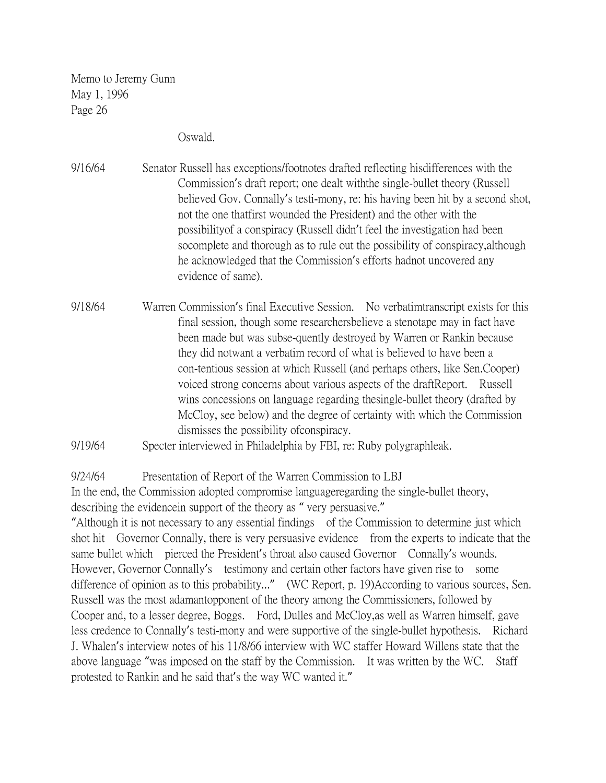Oswald.

9/16/64 Senator Russell has exceptions/footnotes drafted reflecting hisdifferences with the Commission's draft report; one dealt withthe single-bullet theory (Russell believed Gov. Connally's testi-mony, re: his having been hit by a second shot, not the one thatfirst wounded the President) and the other with the possibilityof a conspiracy (Russell didn't feel the investigation had been socomplete and thorough as to rule out the possibility of conspiracy,although he acknowledged that the Commission's efforts hadnot uncovered any evidence of same).

- 9/18/64 Warren Commission's final Executive Session. No verbatimtranscript exists for this final session, though some researchersbelieve a stenotape may in fact have been made but was subse-quently destroyed by Warren or Rankin because they did notwant a verbatim record of what is believed to have been a con-tentious session at which Russell (and perhaps others, like Sen.Cooper) voiced strong concerns about various aspects of the draftReport. Russell wins concessions on language regarding thesingle-bullet theory (drafted by McCloy, see below) and the degree of certainty with which the Commission dismisses the possibility ofconspiracy.
- 9/19/64 Specter interviewed in Philadelphia by FBI, re: Ruby polygraphleak.

9/24/64 Presentation of Report of the Warren Commission to LBJ

In the end, the Commission adopted compromise languageregarding the single-bullet theory, describing the evidencein support of the theory as " very persuasive."

"Although it is not necessary to any essential findings of the Commission to determine just which shot hit Governor Connally, there is very persuasive evidence from the experts to indicate that the same bullet which pierced the President's throat also caused Governor Connally's wounds. However, Governor Connally's testimony and certain other factors have given rise to some difference of opinion as to this probability..." (WC Report, p. 19)According to various sources, Sen. Russell was the most adamantopponent of the theory among the Commissioners, followed by Cooper and, to a lesser degree, Boggs. Ford, Dulles and McCloy,as well as Warren himself, gave less credence to Connally's testi-mony and were supportive of the single-bullet hypothesis. Richard J. Whalen's interview notes of his 11/8/66 interview with WC staffer Howard Willens state that the above language "was imposed on the staff by the Commission. It was written by the WC. Staff protested to Rankin and he said that's the way WC wanted it."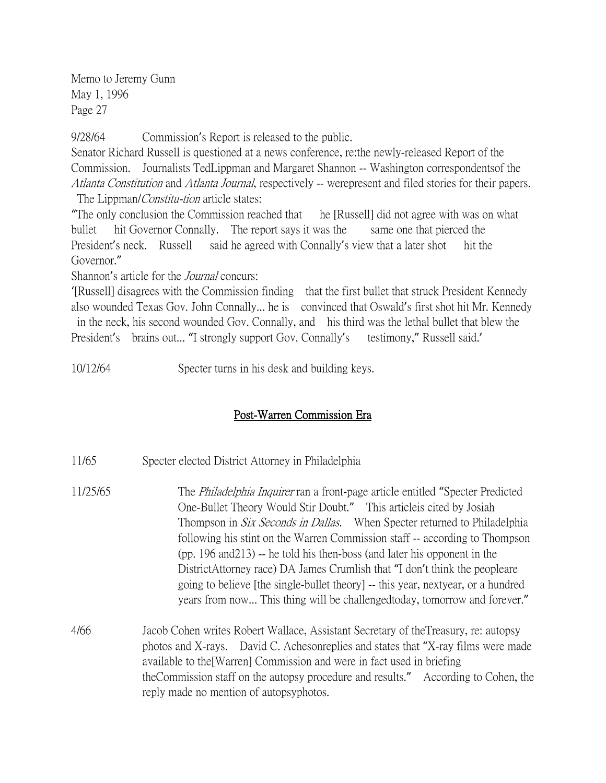9/28/64 Commission's Report is released to the public.

Senator Richard Russell is questioned at a news conference, re:the newly-released Report of the Commission. Journalists TedLippman and Margaret Shannon -- Washington correspondentsof the Atlanta Constitution and Atlanta Journal, respectively -- werepresent and filed stories for their papers. The Lippman/*Constitu-tion* article states:

"The only conclusion the Commission reached that he [Russell] did not agree with was on what bullet hit Governor Connally. The report says it was the same one that pierced the President's neck. Russell said he agreed with Connally's view that a later shot hit the Governor."

Shannon's article for the *Journal* concurs:

'[Russell] disagrees with the Commission finding that the first bullet that struck President Kennedy also wounded Texas Gov. John Connally... he is convinced that Oswald's first shot hit Mr. Kennedy in the neck, his second wounded Gov. Connally, and his third was the lethal bullet that blew the

President's brains out... "I strongly support Gov. Connally's testimony," Russell said.'

10/12/64 Specter turns in his desk and building keys.

### Post-Warren Commission Era

- 11/65 Specter elected District Attorney in Philadelphia
- 11/25/65 The Philadelphia Inquirer ran a front-page article entitled "Specter Predicted One-Bullet Theory Would Stir Doubt." This articleis cited by Josiah Thompson in *Six Seconds in Dallas*. When Specter returned to Philadelphia following his stint on the Warren Commission staff -- according to Thompson (pp. 196 and213) -- he told his then-boss (and later his opponent in the DistrictAttorney race) DA James Crumlish that "I don't think the peopleare going to believe [the single-bullet theory] -- this year, nextyear, or a hundred years from now... This thing will be challengedtoday, tomorrow and forever."
- 4/66 Jacob Cohen writes Robert Wallace, Assistant Secretary of theTreasury, re: autopsy photos and X-rays. David C. Achesonreplies and states that "X-ray films were made available to the[Warren] Commission and were in fact used in briefing theCommission staff on the autopsy procedure and results." According to Cohen, the reply made no mention of autopsyphotos.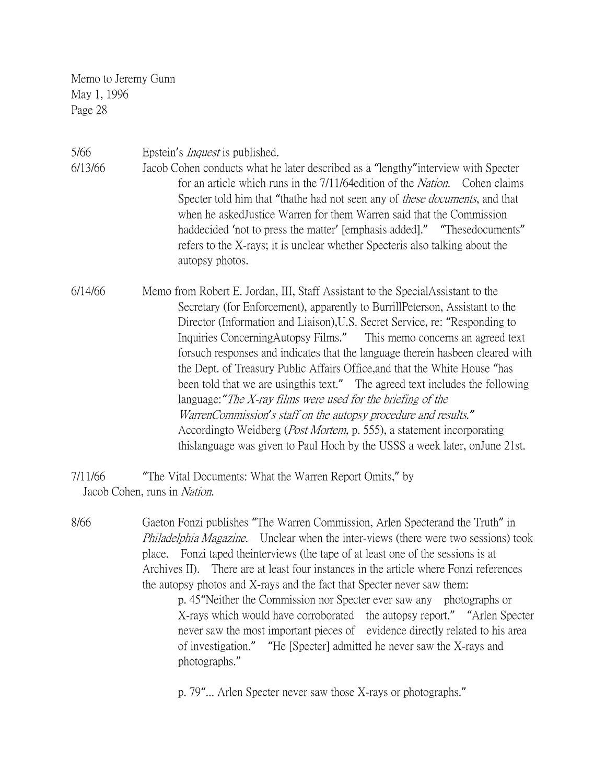5/66 Epstein's Inquest is published.

- 6/13/66 Jacob Cohen conducts what he later described as a "lengthy"interview with Specter for an article which runs in the 7/11/64edition of the Nation. Cohen claims Specter told him that "thathe had not seen any of *these documents*, and that when he askedJustice Warren for them Warren said that the Commission haddecided 'not to press the matter' [emphasis added]." "Thesedocuments" refers to the X-rays; it is unclear whether Specteris also talking about the autopsy photos.
- 6/14/66 Memo from Robert E. Jordan, III, Staff Assistant to the SpecialAssistant to the Secretary (for Enforcement), apparently to BurrillPeterson, Assistant to the Director (Information and Liaison),U.S. Secret Service, re: "Responding to Inquiries ConcerningAutopsy Films." This memo concerns an agreed text forsuch responses and indicates that the language therein hasbeen cleared with the Dept. of Treasury Public Affairs Office,and that the White House "has been told that we are usingthis text." The agreed text includes the following language:*"*The X-ray films were used for the briefing of the WarrenCommission*'*s staff on the autopsy procedure and results.*"* Accordingto Weidberg (Post Mortem, p. 555), a statement incorporating thislanguage was given to Paul Hoch by the USSS a week later, onJune 21st.

7/11/66 "The Vital Documents: What the Warren Report Omits," by Jacob Cohen, runs in Nation.

8/66 Gaeton Fonzi publishes "The Warren Commission, Arlen Specterand the Truth" in Philadelphia Magazine. Unclear when the inter-views (there were two sessions) took place. Fonzi taped theinterviews (the tape of at least one of the sessions is at Archives II). There are at least four instances in the article where Fonzi references the autopsy photos and X-rays and the fact that Specter never saw them:

p. 45"Neither the Commission nor Specter ever saw any photographs or X-rays which would have corroborated the autopsy report." "Arlen Specter never saw the most important pieces of evidence directly related to his area of investigation." "He [Specter] admitted he never saw the X-rays and photographs."

p. 79"... Arlen Specter never saw those X-rays or photographs."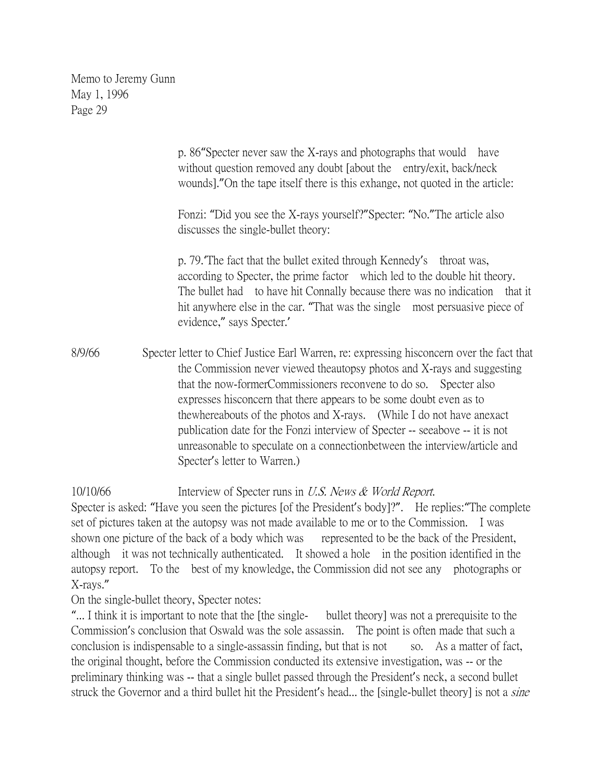p. 86"Specter never saw the X-rays and photographs that would have without question removed any doubt *[about the entry/exit, back/neck* wounds]."On the tape itself there is this exhange, not quoted in the article: Fonzi: "Did you see the X-rays yourself?"Specter: "No."The article also discusses the single-bullet theory: p. 79.'The fact that the bullet exited through Kennedy's throat was, according to Specter, the prime factor which led to the double hit theory. The bullet had to have hit Connally because there was no indication that it hit anywhere else in the car. "That was the single most persuasive piece of evidence," says Specter.' 8/9/66 Specter letter to Chief Justice Earl Warren, re: expressing hisconcern over the fact that the Commission never viewed theautopsy photos and X-rays and suggesting that the now-formerCommissioners reconvene to do so. Specter also expresses hisconcern that there appears to be some doubt even as to thewhereabouts of the photos and X-rays. (While I do not have anexact publication date for the Fonzi interview of Specter -- seeabove -- it is not

unreasonable to speculate on a connectionbetween the interview/article and Specter's letter to Warren.)

10/10/66 Interview of Specter runs in U.S. News & World Report.

Specter is asked: "Have you seen the pictures [of the President's body]?". He replies:"The complete set of pictures taken at the autopsy was not made available to me or to the Commission. I was shown one picture of the back of a body which was represented to be the back of the President, although it was not technically authenticated. It showed a hole in the position identified in the autopsy report. To the best of my knowledge, the Commission did not see any photographs or X-rays."

On the single-bullet theory, Specter notes:

"... I think it is important to note that the [the single- bullet theory] was not a prerequisite to the Commission's conclusion that Oswald was the sole assassin. The point is often made that such a conclusion is indispensable to a single-assassin finding, but that is not so. As a matter of fact, the original thought, before the Commission conducted its extensive investigation, was -- or the preliminary thinking was -- that a single bullet passed through the President's neck, a second bullet struck the Governor and a third bullet hit the President's head... the [single-bullet theory] is not a *sine*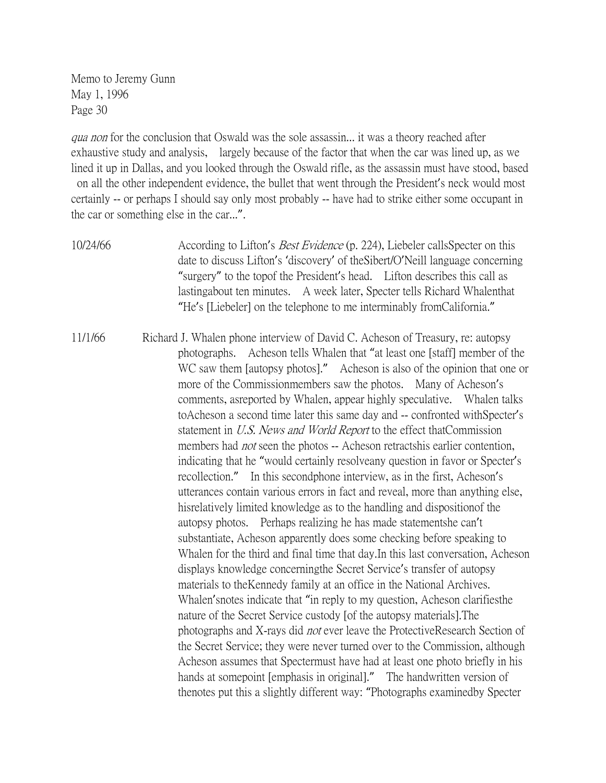qua non for the conclusion that Oswald was the sole assassin... it was a theory reached after exhaustive study and analysis, largely because of the factor that when the car was lined up, as we lined it up in Dallas, and you looked through the Oswald rifle, as the assassin must have stood, based on all the other independent evidence, the bullet that went through the President's neck would most certainly -- or perhaps I should say only most probably -- have had to strike either some occupant in the car or something else in the car...".

10/24/66 According to Lifton's Best Evidence (p. 224), Liebeler callsSpecter on this date to discuss Lifton's 'discovery' of theSibert/O'Neill language concerning "surgery" to the topof the President's head. Lifton describes this call as lastingabout ten minutes. A week later, Specter tells Richard Whalenthat "He's [Liebeler] on the telephone to me interminably fromCalifornia."

11/1/66 Richard J. Whalen phone interview of David C. Acheson of Treasury, re: autopsy photographs. Acheson tells Whalen that "at least one [staff] member of the WC saw them [autopsy photos]." Acheson is also of the opinion that one or more of the Commissionmembers saw the photos. Many of Acheson's comments, asreported by Whalen, appear highly speculative. Whalen talks toAcheson a second time later this same day and -- confronted withSpecter's statement in U.S. News and World Report to the effect thatCommission members had *not* seen the photos -- Acheson retractshis earlier contention, indicating that he "would certainly resolveany question in favor or Specter's recollection." In this secondphone interview, as in the first, Acheson's utterances contain various errors in fact and reveal, more than anything else, hisrelatively limited knowledge as to the handling and dispositionof the autopsy photos. Perhaps realizing he has made statementshe can't substantiate, Acheson apparently does some checking before speaking to Whalen for the third and final time that day.In this last conversation, Acheson displays knowledge concerningthe Secret Service's transfer of autopsy materials to theKennedy family at an office in the National Archives. Whalen'snotes indicate that "in reply to my question, Acheson clarifiesthe nature of the Secret Service custody [of the autopsy materials].The photographs and X-rays did not ever leave the ProtectiveResearch Section of the Secret Service; they were never turned over to the Commission, although Acheson assumes that Spectermust have had at least one photo briefly in his hands at somepoint [emphasis in original]." The handwritten version of thenotes put this a slightly different way: "Photographs examinedby Specter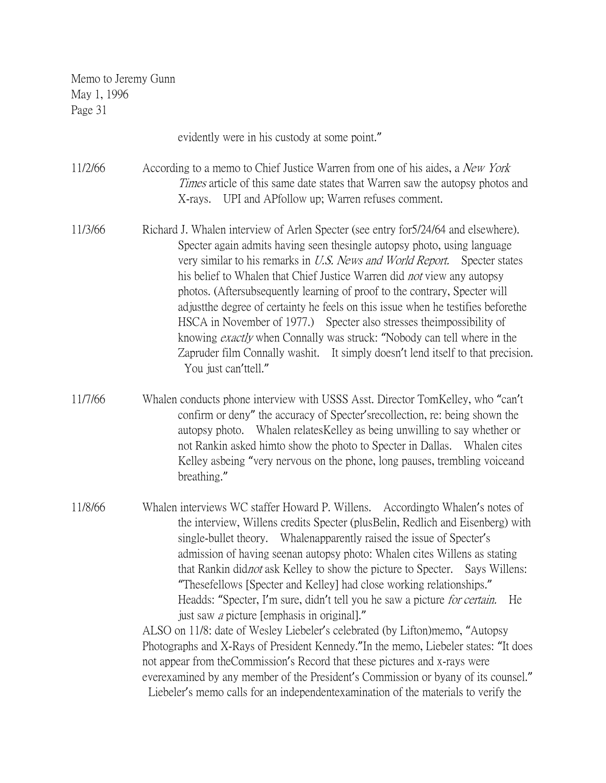| 1 agu ji |                                                                                                                                                                                                                                                                                                                                                                                                                                                                                                                                                                                                                                                                                                                                                                                                                                                                                                                                                                                                                                                                       |
|----------|-----------------------------------------------------------------------------------------------------------------------------------------------------------------------------------------------------------------------------------------------------------------------------------------------------------------------------------------------------------------------------------------------------------------------------------------------------------------------------------------------------------------------------------------------------------------------------------------------------------------------------------------------------------------------------------------------------------------------------------------------------------------------------------------------------------------------------------------------------------------------------------------------------------------------------------------------------------------------------------------------------------------------------------------------------------------------|
|          | evidently were in his custody at some point."                                                                                                                                                                                                                                                                                                                                                                                                                                                                                                                                                                                                                                                                                                                                                                                                                                                                                                                                                                                                                         |
| 11/2/66  | According to a memo to Chief Justice Warren from one of his aides, a New York<br><i>Times</i> article of this same date states that Warren saw the autopsy photos and<br>X-rays. UPI and APfollow up; Warren refuses comment.                                                                                                                                                                                                                                                                                                                                                                                                                                                                                                                                                                                                                                                                                                                                                                                                                                         |
| 11/3/66  | Richard J. Whalen interview of Arlen Specter (see entry for 5/24/64 and elsewhere).<br>Specter again admits having seen the single autopsy photo, using language<br>very similar to his remarks in U.S. News and World Report. Specter states<br>his belief to Whalen that Chief Justice Warren did <i>not</i> view any autopsy<br>photos. (Aftersubsequently learning of proof to the contrary, Specter will<br>adjust the degree of certainty he feels on this issue when he testifies before the<br>HSCA in November of 1977.) Specter also stresses the impossibility of<br>knowing <i>exactly</i> when Connally was struck: "Nobody can tell where in the<br>Zapruder film Connally washit. It simply doesn't lend itself to that precision.<br>You just can'ttell."                                                                                                                                                                                                                                                                                             |
| 11/7/66  | Whalen conducts phone interview with USSS Asst. Director TomKelley, who "can't<br>confirm or deny" the accuracy of Specter' srecollection, re: being shown the<br>autopsy photo. Whalen relates Kelley as being unwilling to say whether or<br>not Rankin asked himto show the photo to Specter in Dallas. Whalen cites<br>Kelley asbeing "very nervous on the phone, long pauses, trembling voiceand<br>breathing."                                                                                                                                                                                                                                                                                                                                                                                                                                                                                                                                                                                                                                                  |
| 11/8/66  | Whalen interviews WC staffer Howard P. Willens. According to Whalen's notes of<br>the interview, Willens credits Specter (plusBelin, Redlich and Eisenberg) with<br>single-bullet theory. Whalenapparently raised the issue of Specter's<br>admission of having seenan autopsy photo: Whalen cites Willens as stating<br>that Rankin didnot ask Kelley to show the picture to Specter.<br>Says Willens:<br>"Thesefellows [Specter and Kelley] had close working relationships."<br>Headds: "Specter, I'm sure, didn't tell you he saw a picture <i>for certain</i> .<br>He<br>just saw <i>a</i> picture [emphasis in original]."<br>ALSO on 11/8: date of Wesley Liebeler's celebrated (by Lifton) memo, "Autopsy<br>Photographs and X-Rays of President Kennedy." In the memo, Liebeler states: "It does<br>not appear from the Commission's Record that these pictures and x-rays were<br>everexamined by any member of the President's Commission or byany of its counsel."<br>Liebeler's memo calls for an independent examination of the materials to verify the |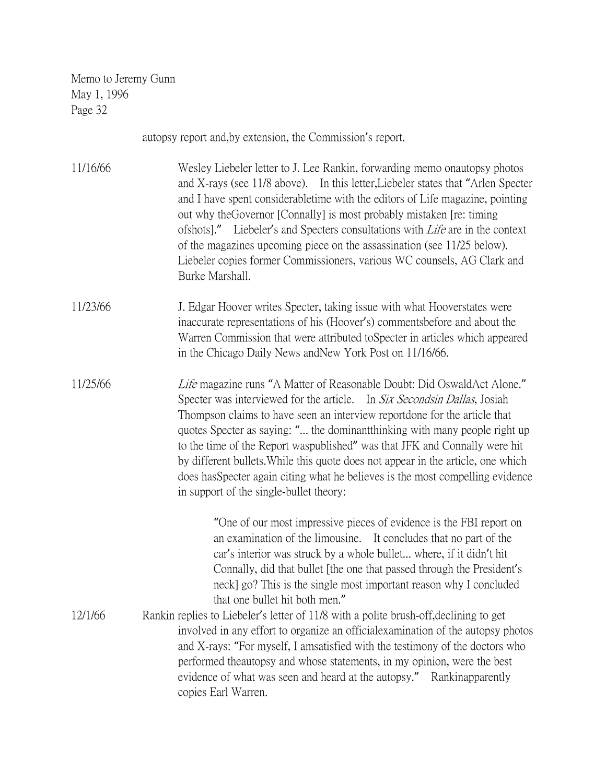|          | autopsy report and, by extension, the Commission's report.                                                                                                                                                                                                                                                                                                                                                                                                                                                                                                                                                     |
|----------|----------------------------------------------------------------------------------------------------------------------------------------------------------------------------------------------------------------------------------------------------------------------------------------------------------------------------------------------------------------------------------------------------------------------------------------------------------------------------------------------------------------------------------------------------------------------------------------------------------------|
| 11/16/66 | Wesley Liebeler letter to J. Lee Rankin, forwarding memo onautopsy photos<br>and X-rays (see 11/8 above). In this letter, Liebeler states that "Arlen Specter"<br>and I have spent considerable time with the editors of Life magazine, pointing<br>out why the Governor [Connally] is most probably mistaken [re: timing]<br>ofshots]." Liebeler's and Specters consultations with <i>Life</i> are in the context<br>of the magazines upcoming piece on the assassination (see 11/25 below).<br>Liebeler copies former Commissioners, various WC counsels, AG Clark and<br>Burke Marshall.                    |
| 11/23/66 | J. Edgar Hoover writes Specter, taking issue with what Hooverstates were<br>inaccurate representations of his (Hoover's) comments before and about the<br>Warren Commission that were attributed to Specter in articles which appeared<br>in the Chicago Daily News and New York Post on 11/16/66.                                                                                                                                                                                                                                                                                                             |
| 11/25/66 | Life magazine runs "A Matter of Reasonable Doubt: Did OswaldAct Alone."<br>Specter was interviewed for the article. In Six Secondsin Dallas, Josiah<br>Thompson claims to have seen an interview reportdone for the article that<br>quotes Specter as saying: " the dominant thinking with many people right up<br>to the time of the Report waspublished" was that JFK and Connally were hit<br>by different bullets. While this quote does not appear in the article, one which<br>does has Specter again citing what he believes is the most compelling evidence<br>in support of the single-bullet theory: |
|          | "One of our most impressive pieces of evidence is the FBI report on<br>an examination of the limousine. It concludes that no part of the<br>car's interior was struck by a whole bullet where, if it didn't hit<br>Connally, did that bullet [the one that passed through the President's<br>neck] go? This is the single most important reason why I concluded<br>that one bullet hit both men."                                                                                                                                                                                                              |
| 12/1/66  | Rankin replies to Liebeler's letter of 11/8 with a polite brush-off, declining to get<br>involved in any effort to organize an official examination of the autopsy photos<br>and X-rays: "For myself, I amsatisfied with the testimony of the doctors who<br>performed theautopsy and whose statements, in my opinion, were the best<br>evidence of what was seen and heard at the autopsy." Rankinapparently<br>copies Earl Warren.                                                                                                                                                                           |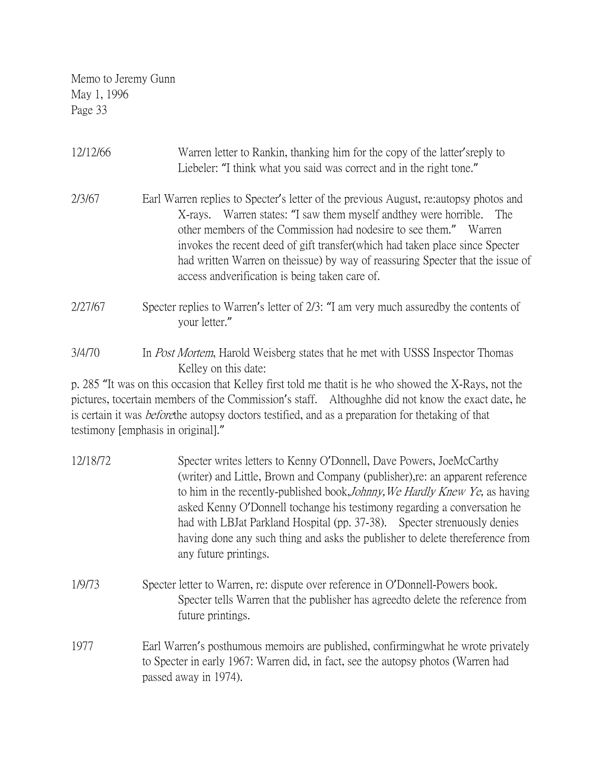| 12/12/66 | Warren letter to Rankin, thanking him for the copy of the latter's reply to<br>Liebeler: "I think what you said was correct and in the right tone."                                                                                                                                                                                                                                                                                                                 |
|----------|---------------------------------------------------------------------------------------------------------------------------------------------------------------------------------------------------------------------------------------------------------------------------------------------------------------------------------------------------------------------------------------------------------------------------------------------------------------------|
| 2/3/67   | Earl Warren replies to Specter's letter of the previous August, retaintopsy photos and<br>Warren states: "I saw them myself and they were horrible.<br>The<br>X-rays.<br>other members of the Commission had nodesire to see them."<br>Warren<br>invokes the recent deed of gift transfer (which had taken place since Specter<br>had written Warren on theissue) by way of reassuring Specter that the issue of<br>access and verification is being taken care of. |
| 2/27/67  | Specter replies to Warren's letter of $2/3$ : "I am very much assured by the contents of<br>your letter."                                                                                                                                                                                                                                                                                                                                                           |
| 3/4/70   | In <i>Post Mortem</i> , Harold Weisberg states that he met with USSS Inspector Thomas<br>Kelley on this date:                                                                                                                                                                                                                                                                                                                                                       |

p. 285 "It was on this occasion that Kelley first told me thatit is he who showed the X-Rays, not the pictures, tocertain members of the Commission's staff. Althoughhe did not know the exact date, he is certain it was beforethe autopsy doctors testified, and as a preparation for thetaking of that testimony [emphasis in original]."

| 12/18/72 | Specter writes letters to Kenny O'Donnell, Dave Powers, JoeMcCarthy<br>(writer) and Little, Brown and Company (publisher), re: an apparent reference<br>to him in the recently-published book, <i>Johnny</i> , We Hardly Knew Ye, as having<br>asked Kenny O'Donnell tochange his testimony regarding a conversation he<br>had with LBJat Parkland Hospital (pp. 37-38). Specter strenuously denies<br>having done any such thing and asks the publisher to delete thereference from<br>any future printings. |
|----------|---------------------------------------------------------------------------------------------------------------------------------------------------------------------------------------------------------------------------------------------------------------------------------------------------------------------------------------------------------------------------------------------------------------------------------------------------------------------------------------------------------------|
| 1/9/73   | Specter letter to Warren, re: dispute over reference in O'Donnell-Powers book.<br>Specter tells Warren that the publisher has agreed to delete the reference from<br>future printings.                                                                                                                                                                                                                                                                                                                        |
| 1977     | Earl Warren's posthumous memoirs are published, confirming what he wrote privately<br>to Specter in early 1967: Warren did, in fact, see the autopsy photos (Warren had<br>passed away in 1974).                                                                                                                                                                                                                                                                                                              |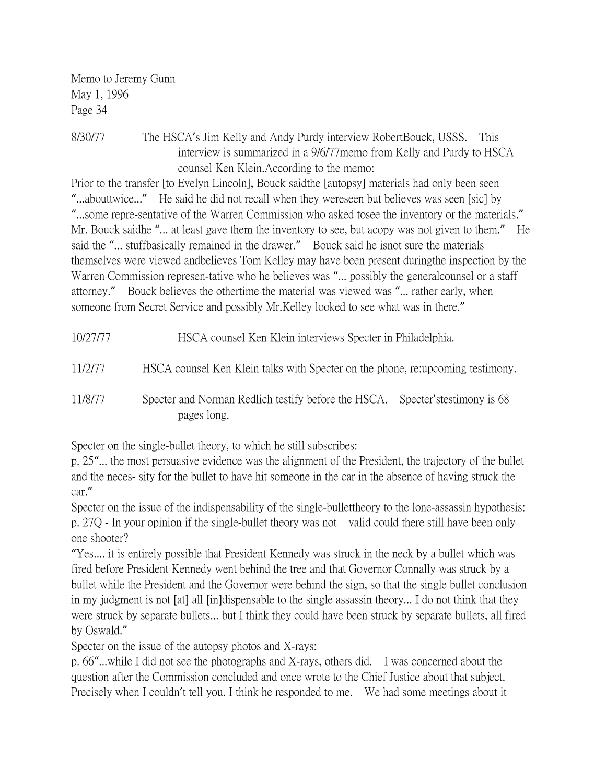8/30/77 The HSCA's Jim Kelly and Andy Purdy interview RobertBouck, USSS. This interview is summarized in a 9/6/77memo from Kelly and Purdy to HSCA counsel Ken Klein.According to the memo:

Prior to the transfer [to Evelyn Lincoln], Bouck saidthe [autopsy] materials had only been seen "...abouttwice..." He said he did not recall when they wereseen but believes was seen [sic] by "...some repre-sentative of the Warren Commission who asked tosee the inventory or the materials." Mr. Bouck saidhe "... at least gave them the inventory to see, but acopy was not given to them." He said the "... stuffbasically remained in the drawer." Bouck said he isnot sure the materials themselves were viewed andbelieves Tom Kelley may have been present duringthe inspection by the Warren Commission represen-tative who he believes was "... possibly the generalcounsel or a staff attorney." Bouck believes the othertime the material was viewed was "... rather early, when someone from Secret Service and possibly Mr.Kelley looked to see what was in there."

11/2/77 HSCA counsel Ken Klein talks with Specter on the phone, re:upcoming testimony.

11/8/77 Specter and Norman Redlich testify before the HSCA. Specter'stestimony is 68 pages long.

Specter on the single-bullet theory, to which he still subscribes:

p. 25"... the most persuasive evidence was the alignment of the President, the trajectory of the bullet and the neces- sity for the bullet to have hit someone in the car in the absence of having struck the car."

Specter on the issue of the indispensability of the single-bullettheory to the lone-assassin hypothesis: p. 27Q - In your opinion if the single-bullet theory was not valid could there still have been only one shooter?

"Yes.... it is entirely possible that President Kennedy was struck in the neck by a bullet which was fired before President Kennedy went behind the tree and that Governor Connally was struck by a bullet while the President and the Governor were behind the sign, so that the single bullet conclusion in my judgment is not [at] all [in]dispensable to the single assassin theory... I do not think that they were struck by separate bullets... but I think they could have been struck by separate bullets, all fired by Oswald."

Specter on the issue of the autopsy photos and X-rays:

p. 66"...while I did not see the photographs and X-rays, others did. I was concerned about the question after the Commission concluded and once wrote to the Chief Justice about that subject. Precisely when I couldn't tell you. I think he responded to me. We had some meetings about it